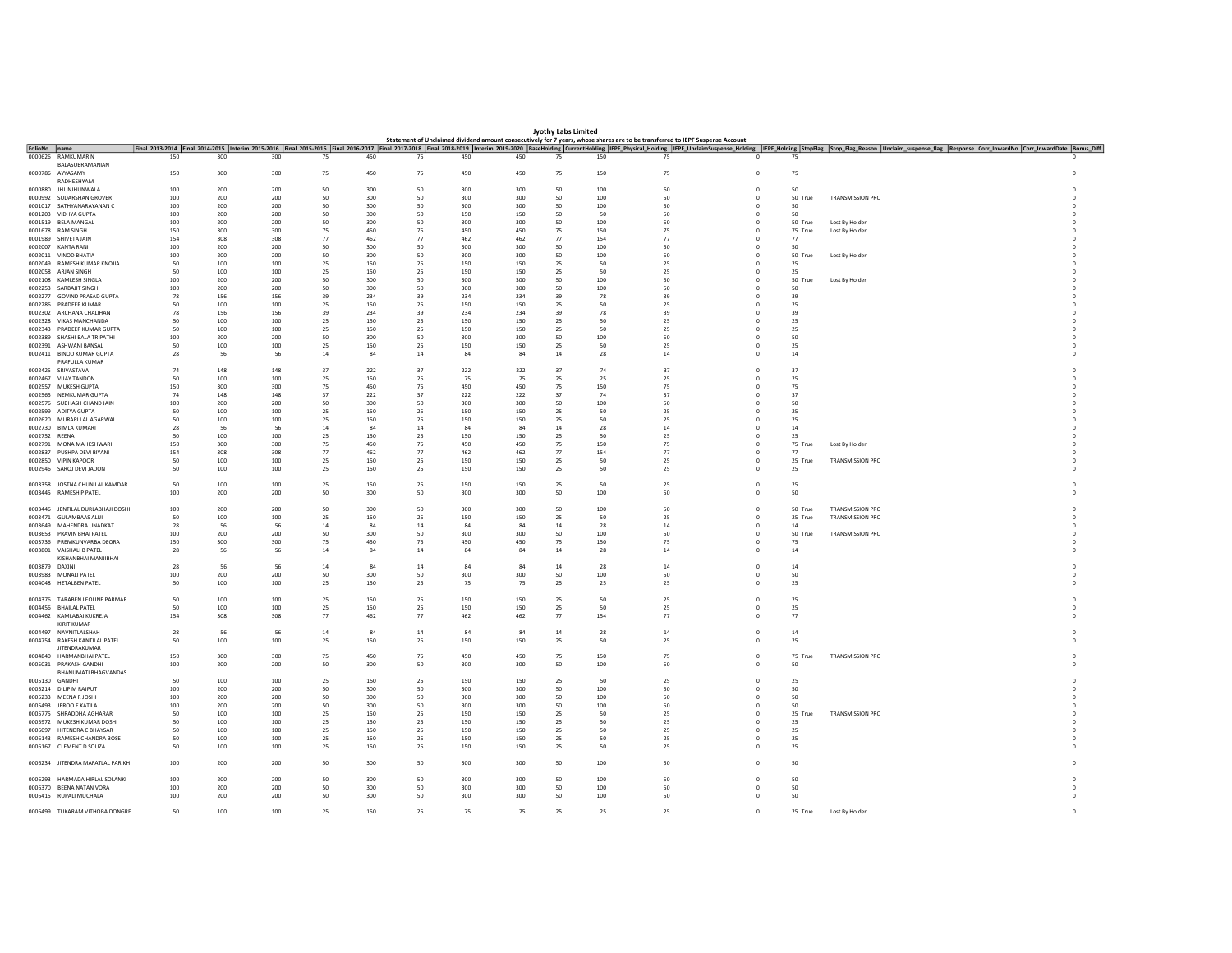|                | <b>Jyothy Labs Limited</b><br>Statement of Unclaimed dividend amount consecutively for 7 years, whose shares are to be transferred to IEPF Suspense Account |            |            |            |            |            |          |            |            |          |            |           |                         |               |                                                                                                                                                                                                                                |  |
|----------------|-------------------------------------------------------------------------------------------------------------------------------------------------------------|------------|------------|------------|------------|------------|----------|------------|------------|----------|------------|-----------|-------------------------|---------------|--------------------------------------------------------------------------------------------------------------------------------------------------------------------------------------------------------------------------------|--|
|                |                                                                                                                                                             |            |            |            |            |            |          |            |            |          |            |           |                         |               |                                                                                                                                                                                                                                |  |
| FolioNo name   | 0000626 RAMKUMAR N                                                                                                                                          | 150        | 300        | 300        | 75         | 450        | 75       | 450        | 450        | 75       | 150        | 75        | $\circ$                 | 75            | Final 2013-2014 Final 2014-2015 Interim 2015-2016 Final 2015-2016 Final 2015-2016 Final 2015-2017 Final 2017-2018 Final 2017-2018 Final 2017-2018 Final 2017-2018 Final 2017-2018 Final 2017-2018 Final 2017-2018 Final 2017-2 |  |
|                | <b>BALASURRAMANIAN</b>                                                                                                                                      |            |            |            |            |            |          |            |            |          |            |           |                         |               |                                                                                                                                                                                                                                |  |
|                | 0000786 AYYASAMY                                                                                                                                            | 150        | 300        | 300        | 75         | 450        | 75       | 450        | 450        | 75       | 150        | 75        | $\,$ 0                  | 75            |                                                                                                                                                                                                                                |  |
|                | RADHESHYAM                                                                                                                                                  |            |            |            |            |            |          |            |            |          |            |           |                         |               |                                                                                                                                                                                                                                |  |
|                | 0000880 JHUNJHUNWALA<br>0000992 SUDARSHAN GROVER                                                                                                            | 100<br>100 | 200<br>200 | 200<br>200 | 50<br>50   | 300<br>300 | 50<br>50 | 300<br>300 | 300<br>300 | 50<br>50 | 100<br>100 | 50<br>50  | $^{\circ}$<br>$\Omega$  | 50<br>50 True | <b>TRANSMISSION PRO</b>                                                                                                                                                                                                        |  |
|                | 0001017 SATHYANARAYANAN C                                                                                                                                   | 100        | 200        | 200        | 50         | 300        | 50       | 300        | 300        | 50       | 100        | 50        | $\circ$                 | 50            |                                                                                                                                                                                                                                |  |
|                | 0001203 VIDHYA GUPTA                                                                                                                                        | 100        | 200        | 200        | 50         | 300        | 50       | 150        | 150        | 50       | 50         | 50        | $\overline{0}$          | 50            |                                                                                                                                                                                                                                |  |
|                | 0001519 BELA MANGAL                                                                                                                                         | 100        | 200        | 200        | 50         | 300        | 50       | 300        | 300        | 50       | 100        | 50        | $^{\circ}$              | 50 True       | Lost By Holder                                                                                                                                                                                                                 |  |
|                | 0001678 RAM SINGH                                                                                                                                           | 150        | 300        | 300        | 75         | 450        | 75       | 450        | 450        | 75       | 150        | 75        | $\Omega$                | 75 True       | Lost By Holder                                                                                                                                                                                                                 |  |
|                | 0001989 SHIVETA JAIN                                                                                                                                        | 154        | 308        | 308        | 77         | 462        | 77       | 462        | 462        | 77       | 154        | 77        | $\overline{0}$          | 77            |                                                                                                                                                                                                                                |  |
|                | 0002007 KANTA RANI                                                                                                                                          | 100        | 200        | 200        | 50         | 300        | 50       | 300        | 300        | 50       | 100        | 50        |                         | 50            |                                                                                                                                                                                                                                |  |
|                | 0002011 VINOD BHATIA                                                                                                                                        | 100        | 200        | 200        | 50         | 300        | 50       | 300        | 300        | 50       | 100        | 50        | $^{\circ}$              | 50 True       | Lost By Holder                                                                                                                                                                                                                 |  |
|                | 0002049 RAMESH KUMAR KNOJIA                                                                                                                                 | 50         | 100        | 100        | 25         | 150        | 25       | 150        | 150        | 25       | 50         | 25        |                         | 25            |                                                                                                                                                                                                                                |  |
|                | 0002058 ARJAN SINGH                                                                                                                                         | 50         | 100        | 100        | 25         | 150        | 25       | 150        | 150        | 25       | 50         | 25        | $\Omega$                | 25            |                                                                                                                                                                                                                                |  |
|                | 0002108 KAMLESH SINGLA                                                                                                                                      | 100        | 200        | 200        | 50         | 300        | 50       | 300        | 300        | 50       | 100        | 50        | $\circ$                 | 50 True       | Lost By Holder                                                                                                                                                                                                                 |  |
|                | 0002253 SARBAJIT SINGH                                                                                                                                      | 100        | 200        | 200        | 50         | 300        | 50       | 300        | 300        | 50       | 100        | 50        | $\circ$                 | 50            |                                                                                                                                                                                                                                |  |
|                | 0002277 GOVIND PRASAD GUPTA                                                                                                                                 | 78         | 156        | 156        | 39         | 234        | 39       | 234        | 234        | 39       | 78         | 39        | $\Omega$                | 39            |                                                                                                                                                                                                                                |  |
|                | 0002286 PRADEEP KUMAR                                                                                                                                       | 50         | 100        | 100        | 25         | 150        | 25       | 150        | 150        | 25       | 50         | 25        | $\Omega$                | 25            |                                                                                                                                                                                                                                |  |
|                | 0002302 ARCHANA CHALIHAN                                                                                                                                    | 78         | 156        | 156        | 39         | 234        | 39       | 234        | 234        | 39       | 78         | 39        | $\Omega$                | 39            |                                                                                                                                                                                                                                |  |
|                | 0002328 VIKAS MANCHANDA<br>0002343 PRADEEP KUMAR GUPTA                                                                                                      | 50<br>50   | 100<br>100 | 100<br>100 | 25<br>25   | 150<br>150 | 25<br>25 | 150<br>150 | 150<br>150 | 25<br>25 | 50<br>50   | 25<br>-25 |                         | 25<br>- 25    |                                                                                                                                                                                                                                |  |
|                | 0002389 SHASHI BALA TRIPATHI                                                                                                                                | 100        | 200        | 200        | 50         | 300        | 50       | 300        | 300        | 50       | 100        | 50        | $\Omega$                | 50            |                                                                                                                                                                                                                                |  |
|                | 0002391 ASHWANI RANSAL                                                                                                                                      | 50         | 100        | 100        | 25         | 150        | 25       | 150        | 150        | 25       | 50         | 25        | $\Omega$                | 25            |                                                                                                                                                                                                                                |  |
|                | 0002411 BINOD KUMAR GUPTA                                                                                                                                   | 28         | 56         | 56         | ${\bf 14}$ | 84         | 14       | $\bf 84$   | 84         | 14       | 28         | 14        | $\mathbf{0}$            | 14            |                                                                                                                                                                                                                                |  |
|                | PRAFULLA KUMAR                                                                                                                                              |            |            |            |            |            |          |            |            |          |            |           |                         |               |                                                                                                                                                                                                                                |  |
|                | 0002425 SRIVASTAVA                                                                                                                                          | 74         | 148        | 148        | 37         | 222        | 37       | 222        | 222        | 37       | 74         | 37        |                         | 37            |                                                                                                                                                                                                                                |  |
|                | 0002467 VIJAY TANDON                                                                                                                                        | 50         | 100        | 100        | 25         | 150        | 25       | 75         | 75         | 25       | 25         | 25        | $\Omega$                | 25            |                                                                                                                                                                                                                                |  |
|                | 0002557 MUKESH GUPTA                                                                                                                                        | 150        | 300        | 300        | 75         | 450        | 75       | 450        | 450        | 75       | 150        | 75        | $\overline{0}$          | 75            |                                                                                                                                                                                                                                |  |
|                | 0002565 NEMKUMAR GUPTA                                                                                                                                      | 74         | 148        | 148        | 37         | 222        | 37       | 222        | 222        | 37       | 74         | 37        | $\Omega$                | 37            |                                                                                                                                                                                                                                |  |
|                | 0002576 SUBHASH CHAND JAIN                                                                                                                                  | 100        | 200        | 200        | 50         | 300        | 50       | 300        | 300        | 50       | 100        | 50        |                         | 50            |                                                                                                                                                                                                                                |  |
|                | 0002599 ADITYA GUPTA                                                                                                                                        | 50         | 100        | 100        | 25         | 150        | 25       | 150        | 150        | 25       | 50         | 25        | $\Omega$                | 25            |                                                                                                                                                                                                                                |  |
|                | 0002620 MURARITAL AGARWAL                                                                                                                                   | 50         | 100        | 100        | 25         | 150        | 25       | 150        | 150        | 25       | 50         | 25        | $\Omega$                | 25            |                                                                                                                                                                                                                                |  |
|                | 0002730 BIMLA KUMARI                                                                                                                                        | 28         | 56         | 56         | 14         | 84         | 14       | 84         | 84         | $14\,$   | 28         | 14        | $\mathbf 0$             | 14            |                                                                                                                                                                                                                                |  |
| 0002752 REENA  |                                                                                                                                                             | 50         | 100        | 100        | 25         | 150        | 25       | 150        | 150        | 25       | 50         | 25        | $\Omega$                | 25            |                                                                                                                                                                                                                                |  |
|                | 0002791 MONA MAHESHWARI                                                                                                                                     | 150        | 300        | 300        | 75         | 450        | 75       | 450        | 450        | 75       | 150        | 75        | $\circ$                 | 75 True       | Lost By Holder                                                                                                                                                                                                                 |  |
|                | 0002837 PUSHPA DEVI BIYANI                                                                                                                                  | 154        | 308        | 308        | 77         | 462        | 77       | 462        | 462        | 77       | 154        | 77        | $\Omega$                | 77            |                                                                                                                                                                                                                                |  |
|                | 0002850 VIPIN KAPOOR                                                                                                                                        | 50         | 100        | 100        | 25         | 150        | 25       | 150        | 150        | 25       | 50         | 25        | $\,$ 0 $\,$             | 25 True       | TRANSMISSION PRO                                                                                                                                                                                                               |  |
|                | 0002946 SAROJ DEVI JADON                                                                                                                                    | 50         | 100        | 100        | 25         | 150        | 25       | 150        | 150        | 25       | 50         | 25        | $\Omega$                | 25            |                                                                                                                                                                                                                                |  |
|                |                                                                                                                                                             |            |            |            |            |            |          |            |            |          |            |           |                         |               |                                                                                                                                                                                                                                |  |
|                | 0003358 JOSTNA CHUNILAL KAMDAR                                                                                                                              | 50         | 100        | 100        | 25         | 150        | 25       | 150        | 150        | 25       | 50         | 25        | $\Omega$                | 25            |                                                                                                                                                                                                                                |  |
|                | 0003445 RAMESH P PATEL                                                                                                                                      | 100        | 200        | 200        | 50         | 300        | 50       | 300        | 300        | 50       | 100        | 50        | $\circ$                 | 50            |                                                                                                                                                                                                                                |  |
|                | 0003446 JENTILAL DURLABHAJI DOSHI                                                                                                                           | 100        | 200        | 200        | 50         | 300        | 50       | 300        | 300        | 50       | 100        | 50        | $\circ$                 | 50 True       | TRANSMISSION PRO                                                                                                                                                                                                               |  |
|                | 0003471 GULAMBAAS ALIJI                                                                                                                                     | 50         | 100        | 100        | 25         | 150        | 25       | 150        | 150        | 25       | 50         | 25        | $\circ$                 | 25 True       | TRANSMISSION PRO                                                                                                                                                                                                               |  |
|                | 0003649 MAHENDRA UNADKAT                                                                                                                                    | 28         | 56         | 56         | $14\,$     | 84         | 14       | 84         | 84         | 14       | 28         | 14        | $\circ$                 | 14            |                                                                                                                                                                                                                                |  |
|                | 0003653 PRAVIN BHAI PATEL                                                                                                                                   | 100        | 200        | 200        | 50         | 300        | 50       | 300        | 300        | 50       | 100        | 50        | $\overline{\mathbf{0}}$ | 50 True       | TRANSMISSION PRO                                                                                                                                                                                                               |  |
|                | 0003736 PREMKUNVARRA DEORA                                                                                                                                  | 150        | 300        | 300        | 75         | 450        | 75       | 450        | 450        | 75       | 150        | 75        | $\Omega$                | 75            |                                                                                                                                                                                                                                |  |
|                | 0003801 VAISHALI B PATEL                                                                                                                                    | 28         | 56         | 56         | 14         | 84         | 14       | 84         | 84         | 14       | 28         | 14        |                         | 14            |                                                                                                                                                                                                                                |  |
|                | KISHANRHAI MAN IIRHAI                                                                                                                                       |            |            |            |            |            |          |            |            |          |            |           |                         |               |                                                                                                                                                                                                                                |  |
| 0003879 DAXINI |                                                                                                                                                             | 28         | 56         | 56         | ${\bf 14}$ | 84         | $14\,$   | 84         | 84         | $14\,$   | 28         | 14        | $\circ$                 | ${\bf 14}$    |                                                                                                                                                                                                                                |  |
|                | 0003983 MONALI PATEL                                                                                                                                        | 100        | 200        | 200        | 50         | 300        | 50       | 300        | 300        | 50       | 100        | 50        | $\Omega$                | 50            |                                                                                                                                                                                                                                |  |
|                | 0004048 HETALBEN PATEL                                                                                                                                      | 50         | 100        | 100        | 25         | 150        | 25       | 75         | 75         | 25       | 25         | 25        | $^{\circ}$              | 25            |                                                                                                                                                                                                                                |  |
|                |                                                                                                                                                             |            |            |            |            |            |          |            |            |          |            |           |                         |               |                                                                                                                                                                                                                                |  |
|                | 0004376 TARABEN LEOLINE PARMAR                                                                                                                              | 50         | 100        | 100        | 25         | 150        | 25       | 150        | 150        | 25       | 50         | 25        | $\circ$                 | 25            |                                                                                                                                                                                                                                |  |
|                | 0004456 BHAILAL PATEL                                                                                                                                       | 50         | 100        | 100        | 25         | 150        | 25       | 150        | 150        | 25       | 50         | 25        | $\Omega$                | 25            |                                                                                                                                                                                                                                |  |
|                | 0004462 KAMLABAI KUKREJA<br><b>KIRIT KUMAR</b>                                                                                                              | 154        | 308        | 308        | 77         | 462        | 77       | 462        | 462        | 77       | 154        | 77        | $\Omega$                | 77            |                                                                                                                                                                                                                                |  |
|                | 0004497 NAVNITLALSHAH                                                                                                                                       | 28         | 56         | 56         | 14         | 84         | $14\,$   | 84         | 84         | $14\,$   | 28         | 14        | $\Omega$                | $14\,$        |                                                                                                                                                                                                                                |  |
|                | 0004754 RAKESH KANTILAL PATEL                                                                                                                               | 50         | 100        | 100        | 25         | 150        | 25       | 150        | 150        | 25       | 50         | 25        | $\circ$                 | 25            |                                                                                                                                                                                                                                |  |
|                | <b>JITENDRAKUMAR</b>                                                                                                                                        |            |            |            |            |            |          |            |            |          |            |           |                         |               |                                                                                                                                                                                                                                |  |
|                | 0004840 HARMANBHAI PATEL                                                                                                                                    | 150        | 300        | 300        | 75         | 450        | 75       | 450        | 450        | 75       | 150        | 75        | $\overline{0}$          | 75 True       | TRANSMISSION PRO                                                                                                                                                                                                               |  |
|                | 0005031 PRAKASH GANDHI                                                                                                                                      | 100        | 200        | 200        | 50         | 300        | 50       | 300        | 300        | 50       | 100        | 50        | $\circ$                 | 50            |                                                                                                                                                                                                                                |  |
|                | <b>BHANUMATI BHAGVANDAS</b>                                                                                                                                 |            |            |            |            |            |          |            |            |          |            |           |                         |               |                                                                                                                                                                                                                                |  |
| 0005130 GANDHI |                                                                                                                                                             | 50         | 100        | 100        | 25         | 150        | 25       | 150        | 150        | 25       | 50         | 25        | $\Omega$                | 25            |                                                                                                                                                                                                                                |  |
|                | 0005214 DILIP M RAJPUT                                                                                                                                      | 100        | 200        | 200        | 50         | 300        | 50       | 300        | 300        | 50       | 100        | 50        |                         | 50            |                                                                                                                                                                                                                                |  |
|                | 0005233 MEENA R JOSHI                                                                                                                                       | 100        | 200        | 200        | 50         | 300        | 50       | 300        | 300        | 50       | 100        | 50        | $\Omega$                | 50            |                                                                                                                                                                                                                                |  |
|                | 0005493 JEROO E KATILA                                                                                                                                      | 100        | 200        | 200        | 50         | 300        | 50       | 300        | 300        | 50       | 100        | 50        | $\overline{0}$          | 50            |                                                                                                                                                                                                                                |  |
|                | 0005775 SHRADDHA AGHARAR                                                                                                                                    | 50         | 100        | 100        | 25         | 150        | 25       | 150        | 150        | 25       | 50         | 25        | $\Omega$                | 25 True       | <b>TRANSMISSION PRO</b>                                                                                                                                                                                                        |  |
|                | 0005972 MUKESH KUMAR DOSHI                                                                                                                                  | 50         | 100        | 100        | 25         | 150        | 25       | 150        | 150        | 25       | 50         | 25        | $\circ$                 | 25            |                                                                                                                                                                                                                                |  |
|                | 0006097 HITENDRA C BHAYSAR                                                                                                                                  | 50         | 100        | 100        | 25         | 150        | 25       | 150        | 150        | 25       | 50         | 25        | $\Omega$                | 25            |                                                                                                                                                                                                                                |  |
|                | 0006143 RAMESH CHANDRA BOSE                                                                                                                                 | 50         | 100        | 100        | 25         | 150        | 25       | 150        | 150        | 25       | 50         | 25        | $\circ$                 | 25            |                                                                                                                                                                                                                                |  |
|                | 0006167 CLEMENT D SOUZA                                                                                                                                     | 50         | 100        | 100        | 25         | 150        | 25       | 150        | 150        | 25       | 50         | 25        |                         | 25            |                                                                                                                                                                                                                                |  |
|                |                                                                                                                                                             |            |            |            |            |            |          |            |            |          |            |           |                         |               |                                                                                                                                                                                                                                |  |
|                | 0006234 JITENDRA MAFATLAL PARIKH                                                                                                                            | 100        | 200        | 200        | 50         | 300        | 50       | 300        | 300        | 50       | 100        | 50        | $\Omega$                | 50            |                                                                                                                                                                                                                                |  |
|                |                                                                                                                                                             |            |            |            |            |            |          |            |            |          |            |           |                         |               |                                                                                                                                                                                                                                |  |
|                | 0006293 HARMADA HIRLAL SOLANKI                                                                                                                              | 100        | 200        | 200        | 50         | 300        | 50       | 300        | 300        | 50       | 100        | 50        | $^{\circ}$              | 50            |                                                                                                                                                                                                                                |  |
|                | 0006370 BEENA NATAN VORA                                                                                                                                    | 100        | 200        | 200        | 50         | 300        | 50<br>50 | 300        | 300        | 50       | 100        | 50<br>50  | $\Omega$                | 50            |                                                                                                                                                                                                                                |  |
|                | 0006415 RUPALI MUCHALA                                                                                                                                      | 100        | 200        | 200        | 50         | 300        |          | 300        | 300        | 50       | 100        |           | $\circ$                 | 50            |                                                                                                                                                                                                                                |  |
|                | 0006499 TUKARAM VITHOBA DONGRE                                                                                                                              | 50         | 100        | 100        | 25         | 150        | 25       | 75         | 75         | 25       | 25         | 25        | $\Omega$                | 25 True       | Lost By Holder                                                                                                                                                                                                                 |  |
|                |                                                                                                                                                             |            |            |            |            |            |          |            |            |          |            |           |                         |               |                                                                                                                                                                                                                                |  |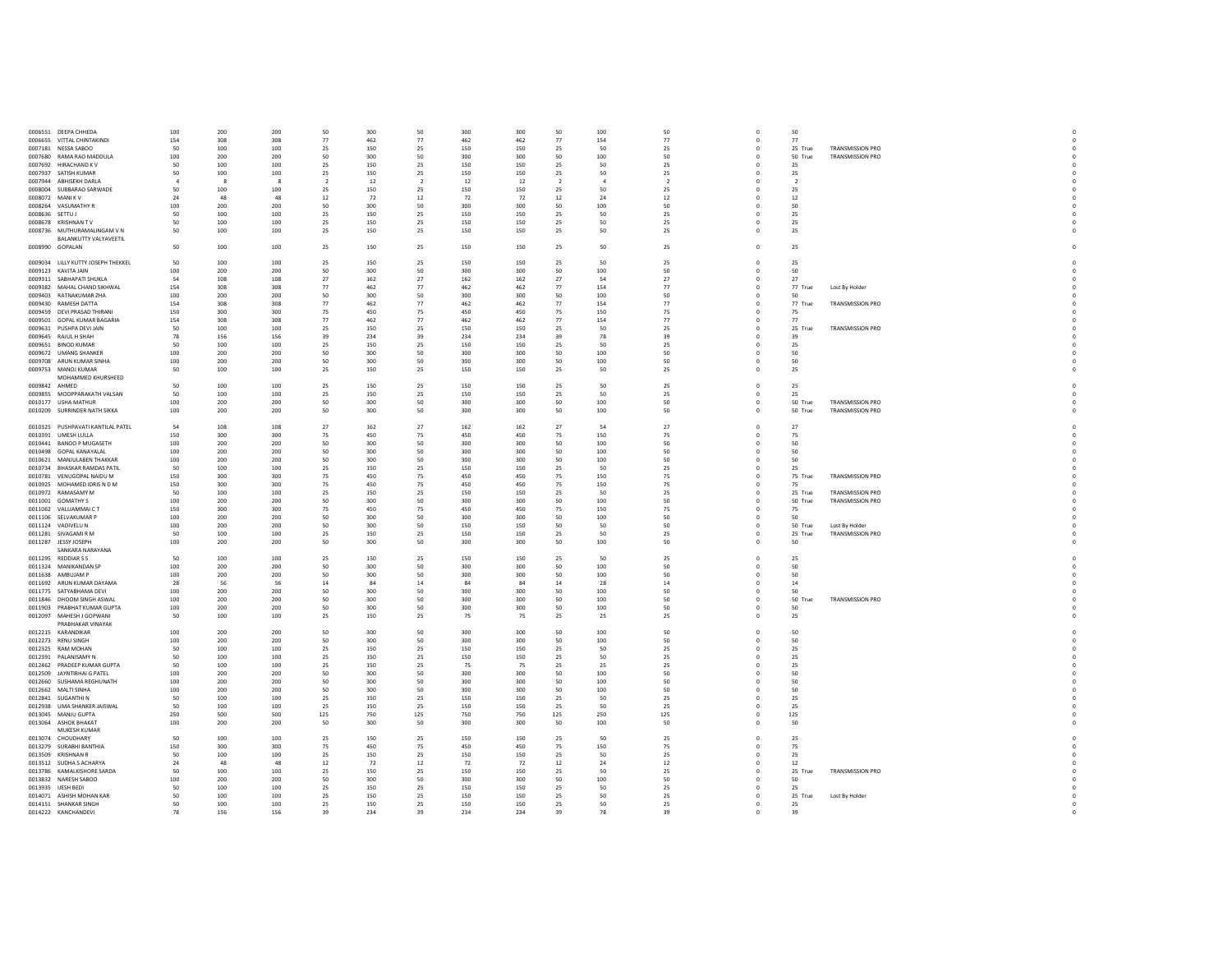|                 | 0006551 DEEPA CHHEDA               | 100          | 200          | 200          | 50             | 300 | 50             | 300 | 300 | 50             | 100            | 50                       | $\mathbf 0$  | 50                       |                         |  |
|-----------------|------------------------------------|--------------|--------------|--------------|----------------|-----|----------------|-----|-----|----------------|----------------|--------------------------|--------------|--------------------------|-------------------------|--|
|                 | 0006655 VITTAL CHINTAKINDI         | 154          | 308          | 308          | 77             | 462 | 77             | 462 | 462 | 77             | 154            | 77                       | $\circ$      | 77                       |                         |  |
|                 | 0007181 NESSA SABOO                | 50           | 100          | 100          | 25             | 150 | 25             | 150 | 150 | 25             | 50             | 25                       | $\mathbf{0}$ | 25 True                  | TRANSMISSION PRO        |  |
|                 | 0007680 RAMA RAO MADDULA           | 100          | 200          | 200          | 50             | 300 | 50             | 300 | 300 | 50             | 100            | 50                       | $\mathbf{0}$ | 50 True                  | <b>TRANSMISSION PRO</b> |  |
|                 | 0007692 HIRACHAND KV               | 50           | 100          | 100          | 25             | 150 | 25             | 150 | 150 | 25             | 50             | 25                       | $\circ$      | 25                       |                         |  |
|                 | 0007937 SATISH KUMAR               | 50           | 100          | 100          | 25             | 150 | 25             | 150 | 150 | 25             | 50             | 25                       | $\mathbf 0$  | 25                       |                         |  |
|                 | 0007944 ABHISEKH DARLA             | $\mathbf{A}$ | $\mathbf{R}$ | $\mathbf{R}$ | $\overline{2}$ | 12  | $\overline{2}$ | 12  | 12  | $\overline{2}$ | $\overline{a}$ | $\overline{\phantom{a}}$ | $^{\circ}$   | $\overline{\phantom{a}}$ |                         |  |
|                 |                                    | 50           | 100          |              |                |     |                |     |     |                |                |                          | $\mathbf{0}$ |                          |                         |  |
|                 | 0008004 SUBBARAO SARWADE           |              |              | 100          | 25             | 150 | 25             | 150 | 150 | 25             | 50             | 25                       |              | 25                       |                         |  |
|                 | 0008072 MANIKV                     | 24           | 48           | 48           | 12             | 72  | 12             | 72  | 72  | 12             | 24             | 12                       | $^{\circ}$   | 12                       |                         |  |
| 0008264         | VASUMATHY R                        | 100          | 200          | 200          | 50             | 300 | 50             | 300 | 300 | 50             | 100            | 50                       | $\mathbf 0$  | 50                       |                         |  |
| 0008636 SETTU J |                                    | 50           | 100          | 100          | 25             | 150 | 25             | 150 | 150 | 25             | 50             | 25                       | $\Omega$     | 25                       |                         |  |
|                 | 0008678 KRISHNAN TV                | 50           | 100          | 100          | 25             | 150 | 25             | 150 | 150 | 25             | 50             | 25                       | $\mathbf{0}$ | 25                       |                         |  |
|                 | 0008736 MUTHURAMALINGAM V N        | 50           | 100          | 100          | 25             | 150 | 25             | 150 | 150 | 25             | 50             | 25                       | $\circ$      | 25                       |                         |  |
|                 | <b>BALANKUTTY VALYAVEETIL</b>      |              |              |              |                |     |                |     |     |                |                |                          |              |                          |                         |  |
|                 | 0008990 GOPALAN                    | 50           | 100          | 100          | 25             | 150 | 25             | 150 | 150 | 25             | 50             | 25                       | $\mathbf 0$  | 25                       |                         |  |
|                 |                                    |              |              |              |                |     |                |     |     |                |                |                          |              |                          |                         |  |
|                 | 0009034 LILLY KUTTY JOSEPH THEKKEL | 50           | 100          | 100          | 25             | 150 | 25             | 150 | 150 | 25             | 50             | 25                       | $\mathbf 0$  | 25                       |                         |  |
|                 | 0009123 KAVITA JAIN                | 100          | 200          | 200          | 50             | 300 | 50             | 300 | 300 | 50             | 100            | 50                       | $^{\circ}$   | 50                       |                         |  |
| 0009311         | SABHAPATI SHUKLA                   | 54           | 108          | 108          | 27             | 162 | 27             | 162 | 162 | 27             | 54             | 27                       | $\mathbf 0$  | 27                       |                         |  |
|                 | 0009382 MAHAL CHAND SIKHWAL        | 154          | 308          | 308          | 77             | 462 | 77             | 462 | 462 | 77             | 154            | 77                       | $^{\circ}$   | 77 True                  | Lost By Holder          |  |
|                 |                                    |              |              |              |                |     |                |     |     |                |                |                          |              |                          |                         |  |
|                 | 0009403 RATNAKUMAR ZHA             | 100          | 200          | 200          | 50             | 300 | 50             | 300 | 300 | 50             | 100            | 50                       | $\mathbf 0$  | 50                       |                         |  |
|                 | 0009430 RAMESH DATTA               | 154          | 308          | 308          | 77             | 462 | 77             | 462 | 462 | 77             | 154            | 77                       | $\Omega$     | 77 True                  | <b>TRANSMISSION PRO</b> |  |
| 0009459         | DEVI PRASAD THIRANI                | 150          | 300          | 300          | 75             | 450 | 75             | 450 | 450 | 75             | 150            | 75                       | $\mathbf{0}$ | 75                       |                         |  |
|                 | 0009501 GOPAL KUMAR BAGARIA        | 154          | 308          | 308          | 77             | 462 | 77             | 462 | 462 | 77             | 154            | 77                       | $\Omega$     | 77                       |                         |  |
|                 | 0009631 PUSHPA DEVI JAIN           | 50           | 100          | 100          | 25             | 150 | 25             | 150 | 150 | 25             | 50             | 25                       | $\mathbf{0}$ | 25 True                  | TRANSMISSION PRO        |  |
|                 | 0009645 RAJUL H SHAH               | 78           | 156          | 156          | 39             | 234 | 39             | 234 | 234 | 39             | 78             | 39                       | $\Omega$     | 39                       |                         |  |
|                 | 0009651 BINOD KUMAR                | 50           | 100          | 100          | 25             | 150 | 25             | 150 | 150 | 25             | 50             | 25                       | $\circ$      | 25                       |                         |  |
|                 | 0009672 UMANG SHANKER              | 100          | 200          | 200          | 50             | 300 | 50             | 300 | 300 | 50             | 100            | 50                       | $\mathbf 0$  | 50                       |                         |  |
|                 | 0009708 ARUN KUMAR SINHA           | 100          | 200          | 200          | 50             | 300 | 50             | 300 | 300 | 50             | 100            | 50                       | $^{\circ}$   | 50                       |                         |  |
|                 |                                    |              |              |              |                |     |                |     |     |                | 50             |                          | $\mathbf 0$  |                          |                         |  |
|                 | 0009753 MANOJ KUMAR                | 50           | 100          | 100          | 25             | 150 | 25             | 150 | 150 | 25             |                | 25                       |              | 25                       |                         |  |
|                 | MOHAMMED KHURSHEED                 |              |              |              |                |     |                |     |     |                |                |                          |              |                          |                         |  |
| 0009842 AHMED   |                                    | 50           | 100          | 100          | 25             | 150 | 25             | 150 | 150 | 25             | 50             | 25                       | $\circ$      | 25                       |                         |  |
|                 | 0009855 MOOPPARAKATH VALSAN        | 50           | 100          | 100          | 25             | 150 | 25             | 150 | 150 | 25             | 50             | 25                       | $\Omega$     | 25                       |                         |  |
|                 | 0010177 USHA MATHUR                | 100          | 200          | 200          | 50             | 300 | 50             | 300 | 300 | 50             | 100            | 50                       | $\mathbf{0}$ | 50 True                  | TRANSMISSION PRO        |  |
|                 | 0010209 SURRINDER NATH SIKKA       | 100          | 200          | 200          | 50             | 300 | 50             | 300 | 300 | 50             | 100            | 50                       | $\Omega$     | 50 True                  | <b>TRANSMISSION PRO</b> |  |
|                 |                                    |              |              |              |                |     |                |     |     |                |                |                          |              |                          |                         |  |
|                 | 0010325 PUSHPAVATI KANTILAL PATEL  | 54           | 108          | 108          | 27             | 162 | 27             | 162 | 162 | 27             | 54             | 27                       | $\circ$      | 27                       |                         |  |
|                 | 0010391 UMESH LULLA                | 150          | 300          | 300          | 75             | 450 | 75             | 450 | 450 | 75             | 150            | 75                       | $\mathbf{0}$ | 75                       |                         |  |
|                 | 0010441 BANOO P MUGASETH           | 100          | 200          | 200          | 50             | 300 | 50             | 300 | 300 | 50             | 100            | 50                       | $\Omega$     | 50                       |                         |  |
| 0010498         | GOPAL KANAYALAL                    | 100          | 200          | 200          | 50             | 300 | 50             | 300 | 300 | 50             | 100            | 50                       | $\mathbf 0$  | 50                       |                         |  |
|                 |                                    |              |              |              |                |     |                |     |     |                |                |                          |              |                          |                         |  |
|                 | 0010621 MANJULABEN THAKKAR         | 100          | 200          | 200          | 50             | 300 | 50             | 300 | 300 | 50             | 100            | 50                       | $\circ$      | 50                       |                         |  |
|                 | 0010734 BHASKAR RAMDAS PATIL       | 50           | 100          | 100          | 25             | 150 | 25             | 150 | 150 | 25             | 50             | 25                       | $\circ$      | 25                       |                         |  |
|                 | 0010781 VENUGOPAL NAIDLIM          | 150          | 300          | 300          | 75             | 450 | 75             | 450 | 450 | 75             | 150            | 75                       | $\Omega$     | 75 True                  | <b>TRANSMISSION PRO</b> |  |
|                 | 0010925 MOHAMED IDRIS N D M        | 150          | 300          | 300          | 75             | 450 | 75             | 450 | 450 | 75             | 150            | 75                       | $\mathbf{0}$ | 75                       |                         |  |
|                 | 0010972 RAMASAMY M                 | 50           | 100          | 100          | 25             | 150 | 25             | 150 | 150 | 25             | 50             | 25                       | $\circ$      | 25 True                  | <b>TRANSMISSION PRO</b> |  |
|                 | 0011001 GOMATHY S                  | 100          | 200          | 200          | 50             | 300 | 50             | 300 | 300 | 50             | 100            | 50                       | $\mathbf{0}$ | 50 True                  | <b>TRANSMISSION PRO</b> |  |
|                 | 0011062 VALLIAMMAICT               | 150          | 300          | 300          | 75             | 450 | 75             | 450 | 450 | 75             | 150            | 75                       | $\mathbf{0}$ | 75                       |                         |  |
|                 | 0011106 SELVAKUMAR P               | 100          | 200          | 200          | 50             | 300 | 50             | 300 | 300 | $50 -$         | 100            | 50                       | $\Omega$     | 50                       |                         |  |
|                 |                                    |              | 200          |              |                | 300 |                |     |     | 50             |                |                          |              |                          |                         |  |
|                 | 0011124 VADIVELU N                 | 100          |              | 200          | 50             |     | 50             | 150 | 150 |                | 50             | 50                       | $\mathbf 0$  | 50 True                  | Lost By Holder          |  |
|                 | 0011281 SIVAGAMIRM                 | 50           | 100          | 100          | 25             | 150 | 25             | 150 | 150 | 25             | 50             | 25                       | $\circ$      | 25 True                  | <b>TRANSMISSION PRO</b> |  |
|                 | 0011287 JESSY JOSEPH               | 100          | 200          | 200          | 50             | 300 | 50             | 300 | 300 | 50             | 100            | 50                       | $\mathbf 0$  | 50                       |                         |  |
|                 | SANKARA NARAYANA                   |              |              |              |                |     |                |     |     |                |                |                          |              |                          |                         |  |
|                 | 0011295 REDDIARSS                  | 50           | 100          | 100          | 25             | 150 | 25             | 150 | 150 | 25             | 50             | 25                       | $\mathbf 0$  | 25                       |                         |  |
|                 | 0011324 MANIKANDAN SP              | 100          | 200          | 200          | 50             | 300 | 50             | 300 | 300 | 50             | 100            | 50                       | $\circ$      | 50                       |                         |  |
|                 | 0011638 AMBUJAM P                  | 100          | 200          | 200          | 50             | 300 | 50             | 300 | 300 | 50             | 100            | 50                       | $\circ$      | 50                       |                         |  |
|                 | 0011692 ARUN KUMAR DAYAMA          | 28           | 56           | 56           | 14             | 84  | 14             | 84  | 84  | 14             | 28             | 14                       | $\circ$      | 14                       |                         |  |
|                 | 0011775 SATYABHAMA DEVI            | 100          | 200          | 200          | 50             | 300 | 50             | 300 | 300 | 50             | 100            | 50                       | $\mathbf 0$  | 50                       |                         |  |
|                 | 0011846 DHOOM SINGH ASWAL          | 100          | 200          | 200          | 50             | 300 | 50             | 300 | 300 | 50             | 100            | 50                       | $\mathbf 0$  | 50 True                  | TRANSMISSION PRO        |  |
|                 | 0011903 PRABHAT KUMAR GUPTA        | 100          | 200          | 200          | 50             | 300 | 50             | 300 | 300 | 50             | 100            | 50                       | $^{\circ}$   | 50                       |                         |  |
|                 |                                    |              |              |              |                |     |                |     |     |                |                |                          | $\mathbf 0$  |                          |                         |  |
|                 | 0012097 MAHESH J GOPWANI           | 50           | 100          | 100          | 25             | 150 | 25             | 75  | 75  | 25             | 25             | 25                       |              | 25                       |                         |  |
|                 | PRABHAKAR VINAYAK                  |              |              |              |                |     |                |     |     |                |                |                          |              |                          |                         |  |
|                 | 0012215 KARANDIKAR                 | 100          | 200          | 200          | 50             | 300 | 50             | 300 | 300 | 50             | 100            | 50                       | $\mathbb O$  | 50                       |                         |  |
|                 | 0012273 RENU SINGH                 | 100          | 200          | 200          | 50             | 300 | 50             | 300 | 300 | 50             | 100            | 50                       | $^{\circ}$   | 50                       |                         |  |
|                 | 0012325 RAM MOHAN                  | 50           | 100          | 100          | 25             | 150 | 25             | 150 | 150 | 25             | 50             | 25                       | $\mathbf 0$  | 25                       |                         |  |
|                 | 0012391 PALANISAMY N               | 50           | 100          | 100          | 25             | 150 | 25             | 150 | 150 | 25             | 50             | 25                       | $\Omega$     | 25                       |                         |  |
|                 |                                    |              |              | 100          | 25             | 150 | 25             | 75  | 75  | 25             | 25             | 25                       | $\mathbf{0}$ | 25                       |                         |  |
|                 | 0012462 PRADEEP KUMAR GUPTA        | 50           | 100          |              |                |     |                |     | 300 | 50             |                | 50                       | $\Omega$     |                          |                         |  |
|                 | 0012509 JAYNTIBHAI G PATEL         | 100          | 200          | 200          | 50             | 300 | 50             | 300 |     |                | 100            |                          |              |                          |                         |  |
|                 |                                    |              |              |              |                |     |                |     |     |                |                |                          |              | 50                       |                         |  |
|                 | 0012660 SUSHAMA REGHUNATH          | 100          | 200          | 200          | 50             | 300 | 50             | 300 | 300 | 50             | 100            | 50                       | $\mathbf{0}$ | 50                       |                         |  |
|                 | 0012662 MALTI SINHA                | 100          | 200          | 200          | 50             | 300 | 50             | 300 | 300 | 50             | 100            | 50                       | $\mathbf{0}$ | 50                       |                         |  |
|                 | 0012841 SUGANTHIN                  | 50           | 100          | 100          | 25             | 150 | 25             | 150 | 150 | 25             | 50             | 25                       | $\circ$      | 25                       |                         |  |
|                 | 0012938 UMA SHANKER JAISWAL        | 50           | 100          | 100          | 25             | 150 | 25             | 150 | 150 | 25             | 50             | 25                       | $\mathbf 0$  | 25                       |                         |  |
|                 | 0013045 MANJU GUPTA                | 250          | 500          | 500          | 125            | 750 | 125            | 750 | 750 | 125            | 250            | 125                      | $^{\circ}$   | 125                      |                         |  |
| 0013064         | <b>ASHOK BHAKAT</b>                | 100          | 200          | 200          | 50             | 300 | 50             | 300 | 300 | 50             | 100            | 50                       | $\mathbf 0$  | 50                       |                         |  |
|                 | MUKESH KUMAR                       |              |              |              |                |     |                |     |     |                |                |                          |              |                          |                         |  |
| 0013074         | CHOUDHARY                          | 50           | 100          | 100          | 25             | 150 | 25             | 150 | 150 | 25             | 50             | 25                       | $\mathbf{0}$ | 25                       |                         |  |
|                 | 0013279 SURARHI RANTHIA            | 150          | 300          | 300          | 75             | 450 | 75             | 450 | 450 | 75             | 150            | 75                       | $\Omega$     | 75                       |                         |  |
|                 | 0013509 KRISHNAN R                 | 50           | 100          | 100          | 25             | 150 | 25             | 150 | 150 | 25             | 50             | 25                       | $\mathbf{0}$ | 25                       |                         |  |
|                 | 0013512 SUDHA S ACHARYA            | 24           | 48           | 48           | 12             | 72  | $12\,$         | 72  | 72  | 12             | 24             | 12                       | $\Omega$     | 12                       |                         |  |
|                 |                                    | 50           | 100          |              |                | 150 |                | 150 | 150 |                | 50             |                          | $\mathbf{0}$ |                          |                         |  |
|                 | 0013786 KAMALKISHORE SARDA         |              |              | 100          | 25             |     | 25             |     |     | 25             |                | 25                       |              | 25 True                  | TRANSMISSION PRO        |  |
|                 | 0013832 NARESH SABOO               | 100          | 200          | 200          | 50             | 300 | 50             | 300 | 300 | 50             | 100            | 50                       | $\Omega$     | 50                       |                         |  |
|                 | 0013935 UESH BEDI                  | 50           | 100          | 100          | 25             | 150 | 25             | 150 | 150 | 25             | 50             | 25                       | $\mathbf{0}$ | 25                       |                         |  |
|                 | 0014071 ASHISH MOHAN KAR           | 50           | 100          | 100          | 25             | 150 | 25             | 150 | 150 | 25             | 50             | 25                       | $^{\circ}$   | 25 True                  | Lost By Holder          |  |
|                 | 0014151 SHANKAR SINGH              | 50           | 100          | 100          | 25             | 150 | 25             | 150 | 150 | 25             | 50             | 25                       | $\mathbf 0$  | 25                       |                         |  |
|                 | 0014222 KANCHANDEVI                | 78           | 156          | 156          | 39             | 234 | 39             | 234 | 234 | 39             | 78             | 39                       | $\mathbf 0$  | 39                       |                         |  |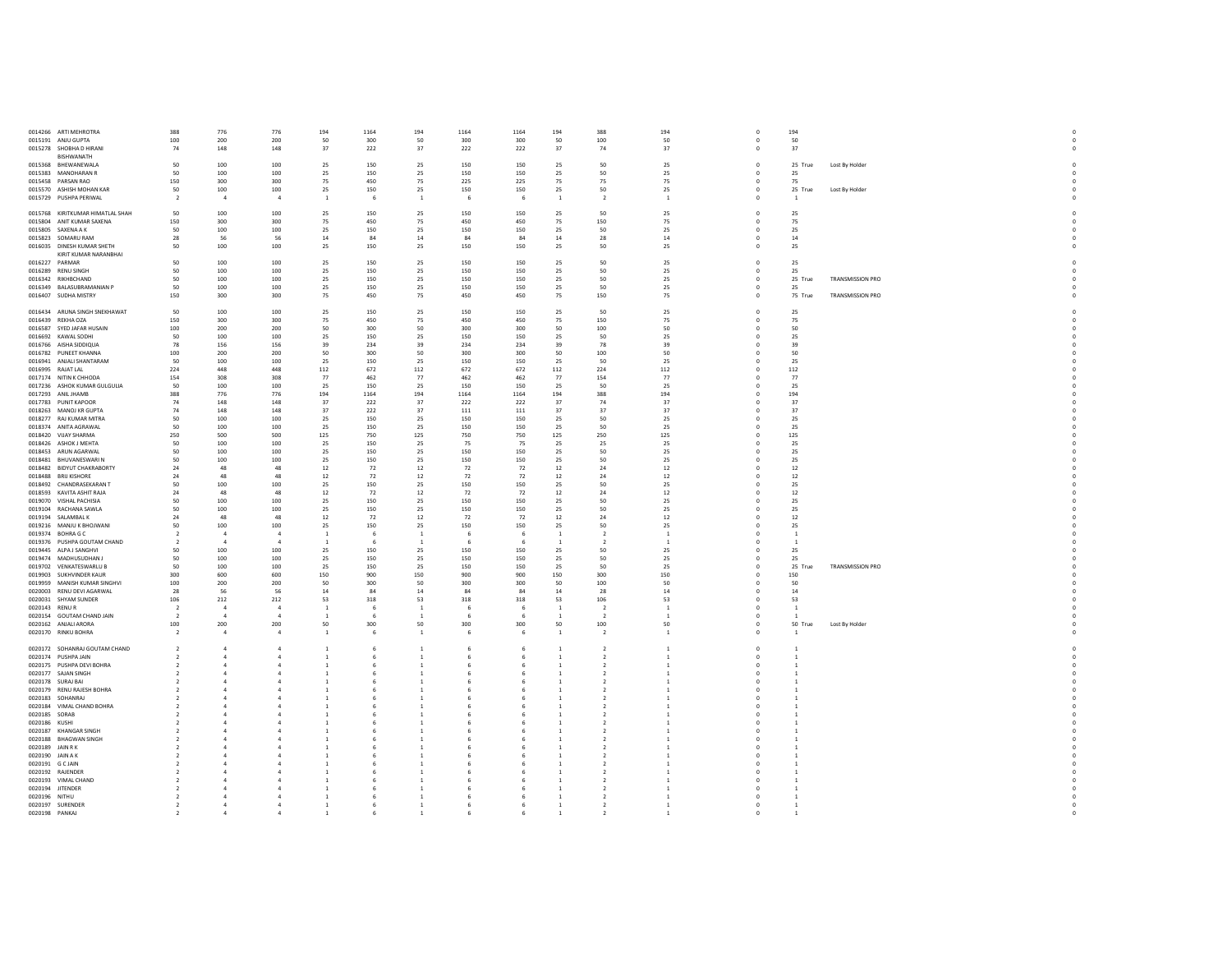|                  | 0014266 ARTI MEHROTRA                               | 388                              | 776                            | 776                            | 194                              | 1164        | 194                              | 1164        | 1164        | 194                            | 388                              | 194                              | $\mathbf 0$               | 194                            |                         |
|------------------|-----------------------------------------------------|----------------------------------|--------------------------------|--------------------------------|----------------------------------|-------------|----------------------------------|-------------|-------------|--------------------------------|----------------------------------|----------------------------------|---------------------------|--------------------------------|-------------------------|
|                  | 0015191 ANJU GUPTA                                  | 100                              | 200                            | 200                            | 50                               | 300         | 50                               | 300         | 300         | 50                             | 100                              | 50                               | $\Omega$                  | 50                             |                         |
|                  | 0015278 SHOBHA D HIRANI                             | 74                               | 148                            | 148                            | 37                               | 222         | 37                               | 222         | 222         | 37                             | 74                               | 37                               | $\circ$                   | 37                             |                         |
|                  | BISHWANATH                                          |                                  |                                |                                |                                  |             |                                  |             |             |                                |                                  |                                  |                           |                                |                         |
|                  | 0015368 BHEWANEWALA<br>0015383 MANOHARAN R          | 50<br>50                         | 100<br>100                     | 100<br>100                     | 25<br>25                         | 150<br>150  | 25<br>25                         | 150<br>150  | 150<br>150  | 25<br>25                       | 50<br>50                         | 25<br>25                         | $\mathbf{0}$<br>$\Omega$  | 25 True<br>25                  | Lost By Holder          |
|                  | 0015458 PARSAN RAO                                  | 150                              | 300                            | 300                            | 75                               | 450         | 75                               | 225         | 225         | 75                             | 75                               | 75                               | $\circ$                   | 75                             |                         |
|                  | 0015570 ASHISH MOHAN KAR                            | 50                               | 100                            | 100                            | 25                               | 150         | 25                               | 150         | 150         | 25                             | 50                               | 25                               | $\mathbf{0}$              | 25 True                        | Lost By Holder          |
|                  | 0015729 PUSHPA PERIWAL                              | $\overline{2}$                   | $\mathbf{A}$                   | $\mathbf{A}$                   | <sup>1</sup>                     | - 6         | $\overline{1}$                   | - 6         | 6           | $\overline{1}$                 | $\overline{2}$                   | $\overline{1}$                   | $^{\circ}$                | $\overline{1}$                 |                         |
|                  |                                                     |                                  |                                |                                |                                  |             |                                  |             |             |                                |                                  |                                  |                           |                                |                         |
|                  | 0015768 KIRITKUMAR HIMATLAL SHAH                    | 50                               | 100                            | 100                            | 25                               | 150         | 25                               | 150         | 150         | 25                             | 50                               | 25                               | $\circ$                   | 25                             |                         |
|                  | 0015804 ANIT KUMAR SAXENA                           | 150                              | 300                            | 300                            | 75                               | 450         | 75                               | 450         | 450         | 75                             | 150                              | 75                               | $\mathbf 0$               | 75                             |                         |
|                  | 0015805 SAXENA A K                                  | 50                               | 100                            | 100<br>56                      | 25                               | 150         | 25                               | 150         | 150         | 25                             | 50<br>28                         | 25                               | $^{\circ}$<br>$\Omega$    | 25                             |                         |
|                  | 0015823 SOMARU RAM<br>0016035 DINESH KUMAR SHETH    | 28<br>50                         | 56<br>100                      | 100                            | 14<br>25                         | 84<br>150   | $14\,$<br>25                     | 84<br>150   | 84<br>150   | 14<br>25                       | 50                               | 14<br>25                         | $\Omega$                  | $14\,$<br>25                   |                         |
|                  | KIRIT KUMAR NARANBHAI                               |                                  |                                |                                |                                  |             |                                  |             |             |                                |                                  |                                  |                           |                                |                         |
|                  | 0016227 PARMAR                                      | 50                               | 100                            | 100                            | 25                               | 150         | 25                               | 150         | 150         | 25                             | 50                               | 25                               | $\mathbf{0}$              | 25                             |                         |
|                  | 0016289 RENU SINGH                                  | 50                               | 100                            | 100                            | 25                               | 150         | 25                               | 150         | 150         | 25                             | 50                               | 25                               | $\mathbf{0}$              | 25                             |                         |
|                  | 0016342 RIKHRCHAND                                  | 50                               | 100                            | 100                            | 25                               | 150         | 25                               | 150         | 150         | 25                             | 50                               | 25                               | $\Omega$                  | 25 True                        | <b>TRANSMISSION PRO</b> |
|                  | 0016349 BALASUBRAMANIAN P                           | 50                               | 100                            | 100                            | 25                               | 150         | 25                               | 150         | 150         | 25                             | 50                               | $25\phantom{.0}$                 | $\mathbf{0}$              | 25                             |                         |
|                  | 0016407 SUDHA MISTRY                                | 150                              | 300                            | 300                            | 75                               | 450         | 75                               | 450         | 450         | 75                             | 150                              | 75                               | $\mathbf 0$               | 75 True                        | TRANSMISSION PRO        |
|                  | 0016434 ARUNA SINGH SNEKHAWAT                       | 50                               | 100                            | 100                            | 25                               | 150         | 25                               | 150         | 150         | 25                             | 50                               | 25                               | $\Omega$                  |                                |                         |
|                  | 0016439 REKHA OZA                                   | 150                              | 300                            | 300                            | 75                               | 450         | 75                               | 450         | 450         | 75                             | 150                              | 75                               | $\mathbf 0$               | 25<br>75                       |                         |
|                  | 0016587 SYED JAFAR HUSAIN                           | 100                              | 200                            | 200                            | 50                               | 300         | 50                               | 300         | 300         | 50                             | 100                              | 50                               | $\Omega$                  | 50                             |                         |
|                  | 0016692 KAWAL SODHI                                 | 50                               | 100                            | 100                            | 25                               | 150         | 25                               | 150         | 150         | 25                             | 50                               | 25                               | $^{\circ}$                | 25                             |                         |
|                  | 0016766 AISHA SIDDIQUA                              | 78                               | 156                            | 156                            | 39                               | 234         | 39                               | 234         | 234         | 39                             | 78                               | 39                               | $\Omega$                  | 39                             |                         |
|                  | 0016782 PUNEET KHANNA                               | 100                              | 200                            | 200                            | 50                               | 300         | $50\,$                           | 300         | 300         | 50                             | 100                              | 50                               | $\mathbf 0$               | 50                             |                         |
|                  | 0016941 ANJALI SHANTARAM                            | 50                               | 100                            | 100                            | 25                               | 150         | 25                               | 150         | 150         | 25                             | 50                               | 25                               | $\Omega$                  | 25                             |                         |
|                  | 0016995 RAJAT LAL                                   | 224                              | 448                            | 448                            | 112                              | 672         | 112                              | 672         | 672         | 112                            | 224                              | 112                              | $^{\circ}$                | 112                            |                         |
|                  | 0017174 NITIN K CHHODA                              | 154<br>50                        | 308                            | 308                            | 77                               | 462         | 77                               | 462         | 462         | 77                             | 154                              | 77                               | $\Omega$                  | 77                             |                         |
|                  | 0017236 ASHOK KUMAR GULGULIA<br>0017293 ANIL JHAMB  | 388                              | 100<br>776                     | 100<br>776                     | 25<br>194                        | 150<br>1164 | 25<br>194                        | 150<br>1164 | 150<br>1164 | 25<br>194                      | 50<br>388                        | 25<br>194                        | $\mathbf 0$<br>$\Omega$   | 25<br>194                      |                         |
|                  | 0017783 PUNIT KAPOOR                                | 74                               | 148                            | 148                            | 37                               | 222         | 37                               | 222         | 222         | 37                             | 74                               | 37                               | $^{\circ}$                | 37                             |                         |
|                  | 0018263 MANOJ KR GUPTA                              | 74                               | 148                            | 148                            | 37                               | 222         | 37                               | 111         | 111         | 37                             | 37                               | 37                               | $\mathbf 0$               | 37                             |                         |
|                  | 0018277 RAJ KUMAR MITRA                             | 50                               | 100                            | 100                            | 25                               | 150         | 25                               | 150         | 150         | 25                             | 50                               | 25                               | $^{\circ}$                | 25                             |                         |
|                  | 0018374 ANITA AGRAWAL                               | 50                               | 100                            | 100                            | 25                               | 150         | 25                               | 150         | 150         | 25                             | 50                               | 25                               | $^{\circ}$                | 25                             |                         |
|                  | 0018420 VIJAY SHARMA                                | 250                              | 500                            | 500                            | 125                              | 750         | 125                              | 750         | 750         | 125                            | 250                              | 125                              | $^{\circ}$                | 125                            |                         |
|                  | 0018426 ASHOK J MEHTA                               | 50                               | 100                            | 100                            | 25                               | 150         | 25                               | 75          | 75          | 25                             | 25                               | 25                               |                           | 25                             |                         |
|                  | 0018453 ARUN AGARWAL                                | 50                               | 100                            | 100                            | 25                               | 150         | 25                               | 150         | 150         | 25                             | 50                               | 25                               | $^{\circ}$                | 25                             |                         |
|                  | 0018481 BHUVANESWARIN<br>0018482 BIDYUT CHAKRABORTY | 50<br>24                         | 100<br>48                      | 100<br>48                      | 25<br>12                         | 150<br>72   | 25<br>12                         | 150<br>72   | 150<br>72   | 25<br>12                       | 50<br>24                         | 25<br>12                         | $\mathbf 0$<br>$^{\circ}$ | 25<br>12                       |                         |
|                  | 0018488 BRIJ KISHORE                                | 24                               | 48                             | 48                             | 12                               | 72          | 12                               | 72          | 72          | $12$                           | 24                               | 12                               | $\Omega$                  | 12                             |                         |
|                  | 0018492 CHANDRASEKARAN T                            | 50                               | 100                            | 100                            | 25                               | 150         | 25                               | 150         | 150         | 25                             | 50                               | 25                               | $\Omega$                  | 25                             |                         |
|                  | 0018593 KAVITA ASHIT RAJA                           | 24                               | 48                             | 48                             | $12\,$                           | 72          | 12                               | 72          | 72          | $12\,$                         | 24                               | $12\,$                           | $\mathbf 0$               | 12                             |                         |
|                  | 0019070 VISHAL PACHISIA                             | 50                               | 100                            | 100                            | 25                               | 150         | 25                               | 150         | 150         | 25                             | 50                               | 25                               | $\Omega$                  | 25                             |                         |
|                  | 0019104 RACHANA SAWLA                               | 50                               | 100                            | 100                            | 25                               | 150         | 25                               | 150         | 150         | 25                             | 50                               | 25                               |                           | 25                             |                         |
|                  | 0019194 SALAMBAL K                                  | 24                               | 48                             | 48                             | 12                               | 72          | 12                               | 72          | 72          | 12                             | 24                               | 12                               | $\Omega$                  | 12                             |                         |
|                  | 0019216 MANJU K BHOJWANI                            | 50                               | 100                            | 100                            | 25                               | 150         | 25                               | 150         | 150         | 25                             | 50                               | 25                               | $\Omega$                  | 25                             |                         |
|                  | 0019374 BOHRA G C<br>0019376 PUSHPA GOUTAM CHAND    | $\overline{2}$<br>$\overline{2}$ | $\overline{4}$<br>$\mathbf{A}$ | $\overline{a}$<br>$\mathbf{A}$ | $\overline{1}$<br>$\overline{1}$ | 6<br>-6     | $\overline{1}$<br>$\overline{1}$ | 6<br>- 6    | -6<br>-6    | $\overline{1}$<br>$\mathbf{1}$ | $\overline{2}$<br>$\overline{2}$ | $\overline{1}$<br>$\overline{1}$ | $\Omega$<br>$\Omega$      | $\overline{1}$<br><sup>1</sup> |                         |
|                  | 0019445 ALPA J SANGHVI                              | 50                               | 100                            | 100                            | 25                               | 150         | 25                               | 150         | 150         | 25                             | 50                               | 25                               | $\Omega$                  | 25                             |                         |
|                  | 0019474 MADHUSUDHAN J                               | 50                               | 100                            | 100                            | 25                               | 150         | 25                               | 150         | 150         | 25                             | 50                               | 25                               | $\Omega$                  | 25                             |                         |
|                  | 0019702 VENKATESWARLU B                             | 50                               | 100                            | 100                            | 25                               | 150         | 25                               | 150         | 150         | 25                             | 50                               | 25                               | $\Omega$                  | 25 True                        | <b>TRANSMISSION PRO</b> |
|                  | 0019903 SUKHVINDER KAUR                             | 300                              | 600                            | 600                            | 150                              | 900         | 150                              | 900         | 900         | 150                            | 300                              | 150                              | $\Omega$                  | 150                            |                         |
|                  | 0019959 MANISH KUMAR SINGHVI                        | 100                              | 200                            | 200                            | 50                               | 300         | 50                               | 300         | 300         | 50                             | 100                              | 50                               | $\Omega$                  | 50                             |                         |
|                  | 0020003 RENU DEVI AGARWAL                           | 28                               | 56                             | 56                             | 14                               | 84          | $14\,$                           | 84          | 84          | $14\,$                         | 28                               | $14\,$                           | $\Omega$                  | $14\,$                         |                         |
| 0020143 RENUR    | 0020031 SHYAM SUNDER                                | 106<br>$\overline{2}$            | 212<br>$\overline{4}$          | 212<br>$\overline{4}$          | 53<br><sup>1</sup>               | 318<br>- 6  | 53<br>$\overline{1}$             | 318<br>- 6  | 318<br>- 6  | 53<br><sup>1</sup>             | 106<br>$\overline{2}$            | 53<br>-1                         | $\Omega$<br>$^{\circ}$    | 53<br><sup>1</sup>             |                         |
|                  | 0020154 GOUTAM CHAND JAIN                           | $\overline{2}$                   | $\overline{4}$                 | $\overline{a}$                 | $\overline{1}$                   |             | $\overline{1}$                   | 6           |             | $\overline{1}$                 | $\overline{2}$                   | $\overline{1}$                   | $\mathbf 0$               | <sup>1</sup>                   |                         |
|                  | 0020162 ANJALI ARORA                                | 100                              | 200                            | 200                            | 50                               | 300         | 50                               | 300         | 300         | 50                             | 100                              | 50                               | $\Omega$                  | 50 True                        | Lost By Holder          |
|                  | 0020170 RINKU BOHRA                                 | $\overline{2}$                   | $\overline{4}$                 | $\overline{4}$                 | $\mathbf{1}$                     | 6           | $\,$ 1                           | 6           | 6           | $\mathbf{1}$                   | $\overline{2}$                   | $\overline{1}$                   | $\mathbf 0$               | $\mathbf{1}$                   |                         |
|                  |                                                     |                                  |                                |                                |                                  |             |                                  |             |             |                                |                                  |                                  |                           |                                |                         |
|                  | 0020172 SOHANRAJ GOUTAM CHAND                       |                                  | 4                              |                                |                                  |             | $\overline{1}$                   | 6           |             | $\mathbf{1}$                   |                                  |                                  |                           |                                |                         |
|                  | 0020174 PUSHPA JAIN                                 |                                  | $\mathbf{A}$                   | $\Lambda$                      | $\mathbf{1}$                     |             | $\overline{1}$                   | 6           |             | $\overline{1}$                 | $\overline{2}$                   | $\overline{1}$                   | $\Omega$                  |                                |                         |
|                  | 0020175 PUSHPA DEVI BOHRA                           |                                  | $\ddot{a}$                     |                                | 1                                |             | $\overline{1}$<br>$\overline{1}$ | 6<br>6      |             | $1\,$<br>$\overline{1}$        | $\overline{2}$<br>$\overline{2}$ | $\overline{1}$                   |                           |                                |                         |
|                  | 0020177 SAJAN SINGH<br>0020178 SURAJ BAI            |                                  | $\mathbf{A}$                   |                                | $\overline{1}$                   |             | -1                               |             |             | 1                              |                                  | $\overline{1}$                   |                           |                                |                         |
|                  | 0020179 RENU RAJESH BOHRA                           |                                  | $\Lambda$                      |                                |                                  |             | $\overline{1}$                   |             |             | $\overline{1}$                 |                                  | $\mathbf{1}$                     |                           |                                |                         |
|                  | 0020183 SOHANRAJ                                    |                                  |                                |                                |                                  |             | 1                                | 6           |             |                                |                                  |                                  |                           |                                |                         |
|                  | 0020184 VIMAL CHAND BOHRA                           |                                  |                                |                                |                                  |             |                                  | 6           |             |                                |                                  |                                  |                           |                                |                         |
| 0020185 SORAB    |                                                     |                                  |                                |                                |                                  |             |                                  |             |             |                                |                                  |                                  |                           |                                |                         |
| 0020186 KUSHI    |                                                     |                                  |                                |                                |                                  |             |                                  |             |             |                                |                                  |                                  |                           |                                |                         |
|                  | 0020187 KHANGAR SINGH                               |                                  |                                |                                | 1                                |             | -1                               | 6           |             | 1                              |                                  |                                  |                           |                                |                         |
| 0020189 JAIN R K | 0020188 BHAGWAN SINGH                               |                                  | $\Delta$                       |                                |                                  |             | $\overline{1}$                   | 6           |             | $\overline{1}$                 |                                  |                                  |                           |                                |                         |
| 0020190 JAIN A K |                                                     |                                  |                                |                                |                                  |             | -1                               |             |             | 1                              |                                  |                                  |                           |                                |                         |
| 0020191 G C JAIN |                                                     |                                  |                                |                                |                                  |             |                                  |             |             | -1.                            |                                  | -1                               |                           |                                |                         |
|                  | 0020192 RAJENDER                                    |                                  |                                |                                |                                  |             |                                  |             |             |                                |                                  |                                  |                           |                                |                         |
|                  | 0020193 VIMAL CHAND                                 |                                  |                                |                                | 1                                |             |                                  |             |             | -1.                            |                                  |                                  |                           |                                |                         |
|                  | 0020194 JITENDER                                    |                                  |                                |                                |                                  |             |                                  |             |             |                                |                                  |                                  |                           |                                |                         |
| 0020196 NITHU    |                                                     |                                  | $\overline{4}$                 | $\mathbf{a}$                   | 1                                | -6          | -1                               | 6           | 6           | -1                             | $\overline{2}$                   | -1                               | $^{\circ}$                | $\mathbf{1}$                   |                         |
|                  | 0020197 SURENDER<br>0020198 PANKAJ                  |                                  | $\ddot{a}$<br>4                |                                | $\,$ 1<br>1                      |             | $\mathbf{1}$<br>-1               | 6<br>6      |             | $\mathbf{1}$<br>1              |                                  |                                  | $\mathbf 0$<br>$^{\circ}$ |                                |                         |
|                  |                                                     |                                  |                                |                                |                                  |             |                                  |             |             |                                |                                  |                                  |                           |                                |                         |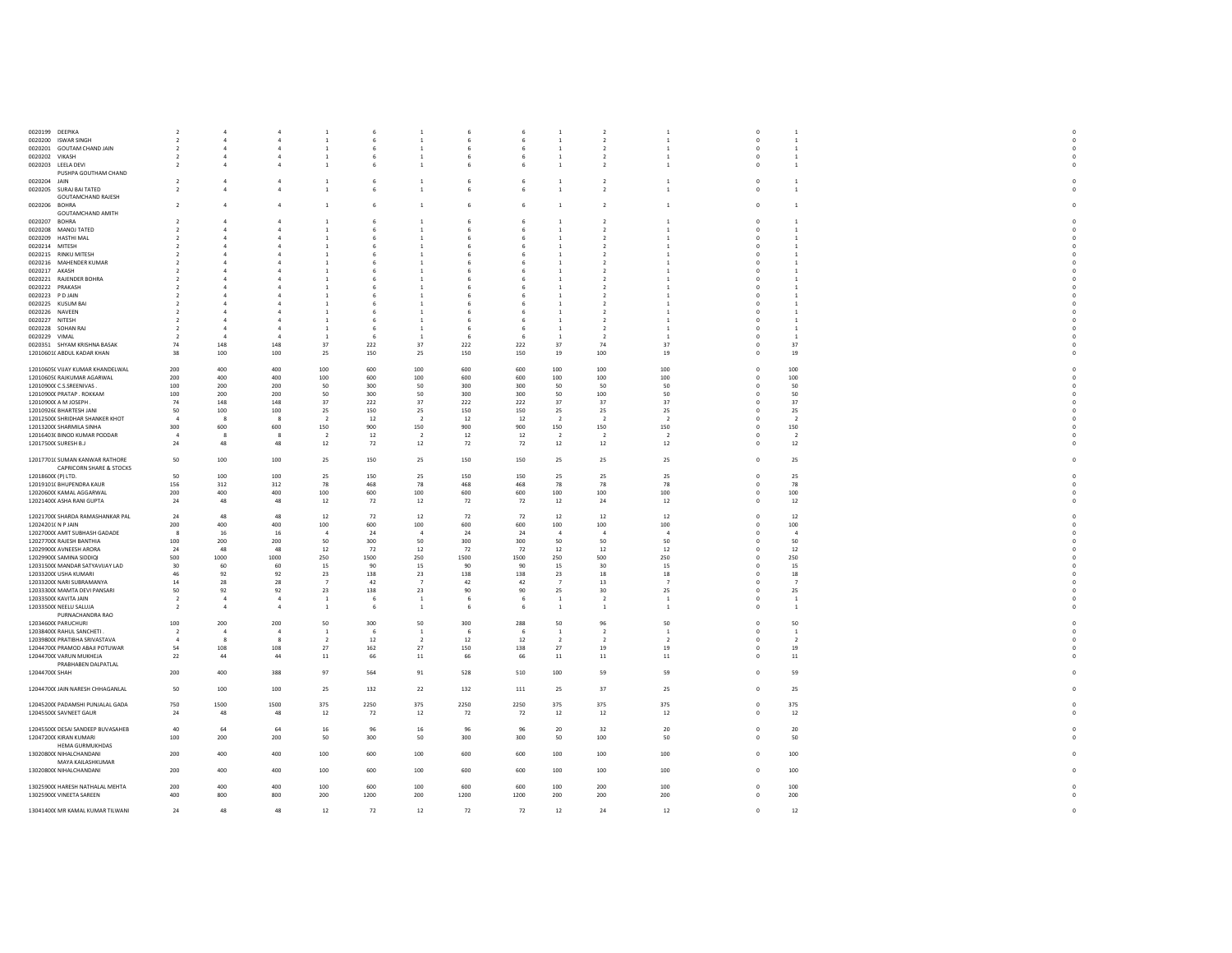| 0020199 DEEPIKA                              | -2                       |                |                | -1             |         | 1              |      |      | -1             | $\overline{2}$ | -1             | $^{\circ}$     | 1              |  |
|----------------------------------------------|--------------------------|----------------|----------------|----------------|---------|----------------|------|------|----------------|----------------|----------------|----------------|----------------|--|
| 0020200 ISWAR SINGH                          | $\overline{2}$           | $\overline{4}$ | $\mathbf{a}$   | $\overline{1}$ | - 6     | $\,$ 1         |      | 6    | $\overline{1}$ | $\overline{2}$ | $\overline{1}$ | $^{\circ}$     | <sup>1</sup>   |  |
| 0020201 GOUTAM CHAND JAIN                    | $\overline{2}$           | 4              |                | $\,$ 1         |         | $\overline{1}$ |      | 6    | <sup>1</sup>   | $\overline{2}$ | $\overline{1}$ | $^{\circ}$     | $\overline{1}$ |  |
| 0020202 VIKASH                               | $\overline{2}$           | $\Delta$       |                | 1              |         | $\overline{1}$ |      | 6    | <sup>1</sup>   | $\overline{2}$ | <sup>1</sup>   | $\Omega$       | <sup>1</sup>   |  |
| 0020203 LEELA DEVI                           | $\overline{2}$           | 4              |                | -1             |         | $\overline{1}$ |      | 6    | -1             | $\overline{2}$ | $\mathbf{1}$   | $^{\circ}$     | 1              |  |
| PUSHPA GOUTHAM CHAND                         |                          |                |                |                |         |                |      |      |                |                |                |                |                |  |
| 0020204 JAIN                                 | $\overline{2}$           | $\overline{4}$ | $\overline{4}$ | $\mathbf{1}$   | 6       | $\,$ 1         |      | 6    | <sup>1</sup>   | $\overline{2}$ | $\,$ 1         | $\mathbf{0}$   | <sup>1</sup>   |  |
| 0020205 SURAJ BAI TATED                      | $\overline{2}$           | $\mathbf{A}$   | $\mathbf{a}$   | $\,$ 1         |         | $\,$ 1         |      | 6    | -1             | $\overline{2}$ | $\mathbf{1}$   | $^{\circ}$     | <sup>1</sup>   |  |
| <b>GOUTAMCHAND RAJESH</b>                    |                          |                |                |                |         |                |      |      |                |                |                |                |                |  |
| 0020206 BOHRA                                | $\overline{2}$           | $\overline{a}$ | $\mathfrak{a}$ | $\,$ 1         | -6      | $\,$ 1         |      | 6    | $\overline{1}$ | $\overline{2}$ | $\mathbf{1}$   | $\mathbf 0$    | <sup>1</sup>   |  |
| GOUTAMCHAND AMITH                            |                          |                |                |                |         |                |      |      |                |                |                |                |                |  |
| 0020207 BOHRA                                | $\overline{2}$           | $\Lambda$      |                | $\overline{1}$ |         | $\overline{1}$ |      |      | $\overline{1}$ | $\mathcal{P}$  | $\overline{1}$ | $\Omega$       |                |  |
| 0020208 MANOJ TATED                          | -2                       | 4              |                | -1             |         | 1              |      | 6    | -1             | 2              | -1             | $^{\circ}$     | -1             |  |
| 0020209 HASTHI MAL                           | $\overline{\phantom{a}}$ | $\Delta$       |                |                |         | $\mathbf{1}$   |      |      | $\overline{1}$ | $\mathcal{P}$  | $\overline{1}$ |                |                |  |
| 0020214 MITESH                               |                          |                |                | -1             |         | -1             |      |      |                | 2              |                |                |                |  |
| 0020215 RINKU MITESH                         |                          |                |                | $\overline{1}$ |         | $\overline{1}$ |      |      |                |                |                |                |                |  |
| 0020216 MAHENDER KUMAR                       |                          |                |                | -1             |         | 1              |      |      |                |                | -1             |                |                |  |
| 0020217 AKASH                                |                          |                |                |                |         |                |      |      |                |                |                |                |                |  |
| 0020221 RAJENDER BOHRA                       |                          |                |                |                |         | -1             |      |      |                |                |                |                |                |  |
| 0020222 PRAKASH                              |                          |                |                |                |         |                |      |      |                |                |                |                |                |  |
| 0020223 PDJAIN                               | $\mathcal{L}$            | 4              |                | -1.            |         | $\overline{1}$ |      |      | -1             | 2              | -1             |                |                |  |
| 0020225 KUSUM BAI                            |                          |                |                |                |         |                |      |      |                |                |                |                |                |  |
| 0020226 NAVEEN                               | $\overline{2}$           | 4              |                | -1.            |         | $\overline{1}$ |      |      |                | $\mathcal{P}$  | -1             |                |                |  |
| 0020227 NITESH                               |                          |                |                |                |         |                |      |      |                |                |                |                |                |  |
| 0020228 SOHAN RAJ                            | $\overline{2}$           | $\Delta$       |                | <sup>1</sup>   | - 6     | <sup>1</sup>   |      | -6   | <sup>1</sup>   | $\overline{2}$ | $\mathbf{1}$   | $\Omega$       | -1             |  |
| 0020229 VIMAL                                |                          |                |                |                |         |                |      |      |                |                |                |                |                |  |
| 0020351 SHYAM KRISHNA BASAK                  | 74                       | 148            | 148            | 37             | 222     | 37             | 222  | 222  | 37             | 74             | -37            | $^{\circ}$     | 37             |  |
| 12010601( ABDUL KADAR KHAN                   | 38                       | 100            | 100            | 25             | 150     | 25             | 150  | 150  | 19             | 100            | 19             |                | 19             |  |
|                                              |                          |                |                |                |         |                |      |      |                |                |                |                |                |  |
| 12010605( VIJAY KUMAR KHANDELWAL             | 200                      | 400            | 400            | 100            | 600     | 100            | 600  | 600  | 100            | 100            | 100            | $\mathbf 0$    | 100            |  |
| 12010605( RAJKUMAR AGARWAL                   | 200                      | 400            | 400            | 100            | 600     | 100            | 600  | 600  | 100            | 100            | 100            | $^{\circ}$     | 100            |  |
| 12010900( C.S.SREENIVAS.                     | 100                      | 200            | 200            | 50             | 300     | 50             | 300  | 300  | 50             | 50             | 50             | $\mathbf 0$    | 50             |  |
| 12010900( PRATAP, ROKKAM                     | 100                      | 200            | 200            | 50             | 300     | 50             | 300  | 300  | 50             | 100            | 50             | $^{\circ}$     | 50             |  |
| 12010900( A M JOSEPH                         | 74                       | 148            | $148\,$        | 37             | $222\,$ | 37             | 222  | 222  | 37             | 37             | 37             | $\mathbf 0$    | 37             |  |
| 12010926( BHARTESH JANI                      | 50                       | 100            | 100            | 25             | 150     | 25             | 150  | 150  | 25             | 25             | 25             | $\Omega$       | 25             |  |
| 12012500( SHRIDHAR SHANKER KHOT              | -4                       | -8             |                | $\overline{2}$ | 12      | - 2            | 12   | 12   | $\overline{2}$ | $\overline{2}$ | $\overline{2}$ |                | -2             |  |
| 12013200( SHARMILA SINHA                     | 300                      | 600            | 600            | 150            | 900     | 150            | 900  | 900  | 150            | 150            | 150            | $\Omega$       | 150            |  |
| 12016403( BINOD KUMAR PODDAR                 | $\overline{4}$           | 8              | - 8            | $\overline{2}$ | 12      | $\overline{2}$ | 12   | 12   | $\overline{2}$ | $\overline{2}$ | $\overline{2}$ | $\mathbf{0}$   | -2             |  |
| 12017500( SURESH B.J                         | 24                       | 48             | 48             | 12             | 72      | 12             | 72   | 72   | 12             | 12             | 12             | $^{\circ}$     | 12             |  |
|                                              |                          |                |                |                |         |                |      |      |                |                |                |                |                |  |
| 12017701( SUMAN KANWAR RATHORE               | 50                       | 100            | 100            | 25             | 150     | 25             | 150  | 150  | 25             | 25             | 25             | $^{\circ}$     | 25             |  |
| <b>CAPRICORN SHARE &amp; STOCKS</b>          |                          |                |                |                |         |                |      |      |                |                |                |                |                |  |
| 12018600( (P) LTD.                           | 50                       | 100            | 100            | 25             | 150     | 25             | 150  | 150  | 25             | 25             | 25             | $\overline{0}$ | 25             |  |
| 12019101( BHUPENDRA KAUR                     | 156                      | 312            | 312            | 78             | 468     | 78             | 468  | 468  | 78             | 78             | 78             | $^{\circ}$     | 78             |  |
| 12020600( KAMAL AGGARWAL                     | 200                      | 400            | 400            | 100            | 600     | 100            | 600  | 600  | 100            | 100            | 100            | $\overline{0}$ | 100            |  |
| 12021400( ASHA RANI GUPTA                    | 24                       | 48             | 48             | 12             | 72      | 12             | 72   | 72   | 12             | 24             | 12             | $\mathbf 0$    | 12             |  |
|                                              |                          |                |                |                |         |                |      |      |                |                |                |                |                |  |
| 12021700( SHARDA RAMASHANKAR PAL             | 24                       | 48             | 48             | 12             | 72      | 12             | 72   | 72   | 12             | 12             | 12             | $^{\circ}$     | 12             |  |
| 12024201( N P JAIN                           | 200                      | 400            | 400            | 100            | 600     | 100            | 600  | 600  | 100            | 100            | 100            | $\Omega$       | 100            |  |
| 12027000( AMIT SUBHASH GADADE                | -8                       | 16             | 16             | $\overline{4}$ | 24      | $\overline{4}$ | 24   | 24   | $\overline{4}$ | $\overline{4}$ | $\overline{4}$ | $^{\circ}$     | $\overline{4}$ |  |
| 12027700( RAJESH BANTHIA                     | 100                      | 200            | 200            | 50             | 300     | 50             | 300  | 300  | 50             | 50             | 50             | $\Omega$       | 50             |  |
| 12029900( AVNEESH ARORA                      | 24                       | 48             | 48             | 12             | 72      | 12             | 72   | 72   | 12             | 12             | 12             |                | 12             |  |
| 12029900( SAMINA SIDDIQI                     | 500                      | 1000           | 1000           | 250            | 1500    | 250            | 1500 | 1500 | 250            | 500            | 250            | $\Omega$       | 250            |  |
| 12031500( MANDAR SATYAVIJAY LAD              | 30                       | 60             | 60             | 15             | 90      | 15             | 90   | 90   | 15             | 30             | 15             | $^{\circ}$     | 15             |  |
| 12033200( USHA KUMARI                        | 46                       | 92             | 92             | 23             | 138     | 23             | 138  | 138  | 23             | 18             | 18             | $\Omega$       | 18             |  |
| 12033200( NARI SUBRAMANYA                    | $14\,$                   | 28             | 28             | $\overline{7}$ | 42      | $\overline{7}$ | 42   | 42   | $\overline{7}$ | 13             | -7             | $^{\circ}$     | -7             |  |
| 12033300( MAMTA DEVI PANSARI                 | 50                       | 92             | 92             | 23             | 138     | 23             | 90   | 90   | 25             | 30             | 25             | $\Omega$       | 25             |  |
| 12033500( KAVITA JAIN                        | $\overline{2}$           | $\overline{a}$ | $\overline{4}$ | <sup>1</sup>   | 6       | <sup>1</sup>   |      | 6    | <sup>1</sup>   | $\overline{2}$ | -1             | $^{\circ}$     | <sup>1</sup>   |  |
| 12033500( NEELU SALUJA                       | $\overline{2}$           | $\overline{a}$ | $\mathbf{A}$   | $\overline{1}$ | - 6     | $\overline{1}$ |      | 6    | <sup>1</sup>   | $\overline{1}$ | $\overline{1}$ | $^{\circ}$     | <sup>1</sup>   |  |
| PURNACHANDRA RAO                             |                          |                |                |                |         |                |      |      |                |                |                |                |                |  |
| 12034600( PARUCHURI                          | 100                      | 200            | 200            | 50             | 300     | 50             | 300  | 288  | 50             | 96             | 50             | $\Omega$       | 50             |  |
| 12038400( RAHUL SANCHETI .                   | $\overline{2}$           | $\overline{a}$ | $\overline{4}$ | -1             | - 6     | <sup>1</sup>   |      | 6    | $\mathbf{1}$   | -2             | -1             | $^{\circ}$     | <sup>1</sup>   |  |
| 12039800( PRATIBHA SRIVASTAVA                | $\overline{4}$           | 8              | $\mathbf{R}$   | $\overline{2}$ | 12      | $\overline{2}$ | 12   | 12   | $\overline{2}$ | $\overline{2}$ | $\overline{2}$ | $\mathbf 0$    | $\overline{2}$ |  |
| 12044700( PRAMOD ABAJI POTUWAR               | 54                       | 108            | 108            | 27             | 162     | 27             | 150  | 138  | 27             | 19             | 19             | $^{\circ}$     | 19             |  |
| 12044700( VARUN MUKHEJA                      | $22\,$                   | 44             | $44\,$         | 11             | 66      | $11\,$         | 66   | 66   | 11             | $11\,$         | $11\,$         |                | $11\,$         |  |
| PRABHABEN DALPATLAL                          |                          |                |                |                |         |                |      |      |                |                |                |                |                |  |
| 12044700( SHAH                               | 200                      | 400            | 388            | 97             | 564     | 91             | 528  | 510  | 100            | 59             | 59             | $\mathbf 0$    | 59             |  |
|                                              |                          |                |                |                |         |                |      |      |                |                |                |                |                |  |
| 12044700( JAIN NARESH CHHAGANLAL             | 50                       | 100            | 100            | 25             | 132     | 22             | 132  | 111  | 25             | 37             | 25             | $\mathbf{0}$   | 25             |  |
|                                              |                          |                |                |                |         |                |      |      |                |                |                |                |                |  |
| 12045200( PADAMSHI PUNJALAL GADA             | 750                      | 1500           | 1500           | 375            | 2250    | 375            | 2250 | 2250 | 375            | 375            | 375            | $\Omega$       | 375            |  |
| 12045500( SAVNEET GAUR                       | 24                       | 48             | 48             | 12             | 72      | 12             | 72   | 72   | 12             | 12             | 12             | 0              | 12             |  |
|                                              |                          | 64             |                |                |         |                |      |      |                |                |                |                |                |  |
| 12045500( DESAI SANDEEP BUVASAHEB            | 40                       |                | 64             | 16             | 96      | 16             | 96   | 96   | 20             | 32             | 20             | $\mathbf{0}$   | 20             |  |
| 12047200( KIRAN KUMARI                       | 100                      | 200            | 200            | 50             | 300     | 50             | 300  | 300  | 50             | 100            | 50             | $\Omega$       | 50             |  |
| <b>HEMA GURMUKHDAS</b>                       |                          |                |                |                |         |                |      |      |                |                |                |                |                |  |
| 13020800( NIHALCHANDANI<br>MAYA KAILASHKUMAR | 200                      | 400            | 400            | 100            | 600     | 100            | 600  | 600  | 100            | 100            | 100            | $^{\circ}$     | 100            |  |
|                                              | 200                      | 400            | 400            |                | 600     |                | 600  |      |                |                | 100            | $^{\circ}$     |                |  |
| 13020800( NIHALCHANDANI                      |                          |                |                | 100            |         | 100            |      | 600  | 100            | 100            |                |                | 100            |  |
| 13025900( HARESH NATHALAL MEHTA              | 200                      | 400            | 400            | 100            | 600     | 100            | 600  | 600  | 100            | 200            | 100            | $\Omega$       | 100            |  |
| 13025900( VINEETA SAREEN                     | 400                      | 800            | 800            | 200            | 1200    | 200            | 1200 | 1200 | 200            | 200            | 200            | $^{\circ}$     | 200            |  |
|                                              |                          |                |                |                |         |                |      |      |                |                |                |                |                |  |
| 13041400( MR KAMAL KUMAR TILWANI             | 24                       | 48             | 48             | 12             | 72      | 12             | 72   | 72   | 12             | 24             | 12             | $\mathbf{0}$   | 12             |  |
|                                              |                          |                |                |                |         |                |      |      |                |                |                |                |                |  |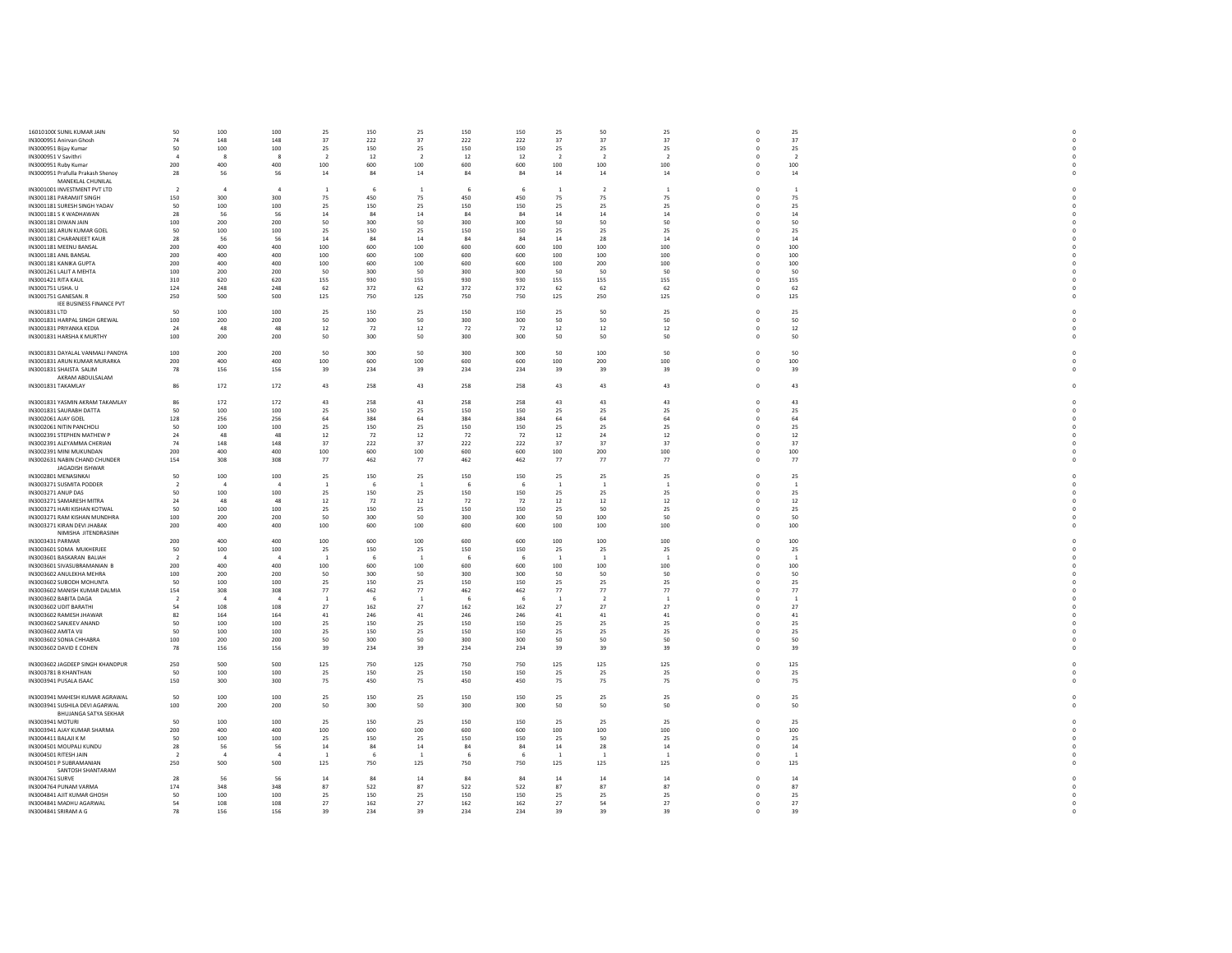| 16010100( SUNIL KUMAR JAIN                    | 50                       | 100            | 100            | 25                       | 150        | 25             | 150        | 150        | 25             | 50             | 25             | $\Omega$     | 25             |  |
|-----------------------------------------------|--------------------------|----------------|----------------|--------------------------|------------|----------------|------------|------------|----------------|----------------|----------------|--------------|----------------|--|
| IN3000951 Anirvan Ghosh                       | 74                       | 148            | 148            | 37                       | 222        | 37             | 222        | 222        | 37             | 37             | 37             | $^{\circ}$   | 37             |  |
| IN3000951 Bijay Kumar                         | 50                       | 100            | 100            | 25                       | 150        | 25             | 150        | 150        | 25             | 25             | 25             | $\mathbf 0$  | 25             |  |
| IN3000951 V Savithri                          |                          | - 8            | $\mathbf{R}$   | $\overline{\phantom{a}}$ | 12         | $\overline{2}$ | 12         | 12         | $\overline{2}$ | $\overline{2}$ | $\overline{2}$ | $^{\circ}$   | $\overline{2}$ |  |
| IN3000951 Ruby Kumar                          | 200                      | 400            | 400            | 100                      | 600        | 100            | 600        | 600        | 100            | 100            | 100            | $\circ$      | 100            |  |
| IN3000951 Prafulla Prakash Shenov             | 28                       | 56             | 56             | 14                       | 84         | 14             | 84         | 84         | 14             | 14             | 14             | $\Omega$     | 14             |  |
| MANEKLAL CHUNILAL                             |                          |                |                |                          |            |                |            |            |                |                |                |              |                |  |
| IN3001001 INVESTMENT PVT LTD                  | <sup>2</sup>             | $\overline{4}$ | $\mathbf{a}$   | -1                       | - 6        | $\overline{1}$ | 6          | - 6        | 1              | $\overline{2}$ | $\mathbf{1}$   | $^{\circ}$   | $\overline{1}$ |  |
|                                               |                          |                |                |                          |            |                |            |            |                |                |                |              |                |  |
| IN3001181 PARAMJIT SINGH                      | 150                      | 300            | 300            | 75                       | 450        | 75<br>25       | 450        | 450<br>150 | 75             | 75             | 75             | $\circ$      | 75             |  |
| IN3001181 SURESH SINGH YADAV                  | 50                       | 100            | 100            | 25                       | 150        |                | 150        |            | 25             | 25             | 25             | $^{\circ}$   | 25             |  |
| IN3001181 S K WADHAWAN                        | 28                       | 56             | 56             | 14                       | 84         | $14\,$         | 84         | 84         | $14\,$         | $14\,$         | $14\,$         | $\Omega$     | 14             |  |
| IN3001181 DIWAN JAIN                          | 100                      | 200            | 200            | 50                       | 300        | 50             | 300        | 300        | 50             | 50             | 50             | $\Omega$     | 50             |  |
| IN3001181 ARUN KUMAR GOEL                     | 50                       | 100            | 100            | 25                       | 150        | 25             | 150        | 150        | 25             | 25             | 25             | $\Omega$     | 25             |  |
| IN3001181 CHARANJEET KAUR                     | 28                       | 56             | 56             | 14                       | 84         | 14             | 84         | 84         | 14             | 28             | 14             | $\Omega$     | $14\,$         |  |
| IN3001181 MEENU BANSAL                        | 200                      | 400            | 400            | 100                      | 600        | 100            | 600        | 600        | 100            | 100            | 100            | $\Omega$     | 100            |  |
| IN3001181 ANIL BANSAL                         | 200                      | 400            | 400            | 100                      | 600        | 100            | 600        | 600        | 100            | 100            | 100            | $\circ$      | 100            |  |
| IN3001181 KANIKA GUPTA                        | 200                      | 400            | 400            | 100                      | 600        | 100            | 600        | 600        | 100            | 200            | 100            | $^{\circ}$   | 100            |  |
| IN3001261 LALIT A MEHTA                       | 100                      | 200            | 200            | 50                       | 300        | 50             | 300        | 300        | 50             | 50             | 50             | $\circ$      | 50             |  |
| IN3001421 RITA KAUL                           | 310                      | 620            | 620            | 155                      | 930        | 155            | 930        | 930        | 155            | 155            | 155            | $^{\circ}$   | 155            |  |
| IN3001751 USHA. U                             | 124                      | 248            | 248            | 62                       | 372        | 62             | 372        | 372        | 62             | 62             | 62             | $\circ$      | 62             |  |
| IN3001751 GANESAN. R                          | 250                      | 500            | 500            | 125                      | 750        | 125            | 750        | 750        | 125            | 250            | 125            | $\Omega$     | 125            |  |
| IEE BUSINESS FINANCE PVT                      |                          |                |                |                          |            |                |            |            |                |                |                |              |                |  |
| IN3001831 LTD                                 | 50                       | 100            | 100            | 25                       | 150        | 25             | 150        | 150        | 25             | 50             | 25             | $\Omega$     | 25             |  |
| IN3001831 HARPAL SINGH GREWAL                 | 100                      | 200            | 200            | 50                       | 300        | $50\,$         | 300        | 300        | 50             | 50             | 50             | $\mathbf 0$  | 50             |  |
| IN3001831 PRIYANKA KEDIA                      | 24                       | 48             | 48             | 12                       | 72         | $12\,$         | 72         | 72         | 12             | 12             | 12             | $\Omega$     | $12\,$         |  |
| IN3001831 HARSHA K MURTHY                     | 100                      | 200            | 200            | 50                       | 300        | 50             | 300        | 300        | 50             | 50             | 50             | $\circ$      | 50             |  |
|                                               |                          |                |                |                          |            |                |            |            |                |                |                |              |                |  |
| IN3001831 DAYALAL VANMALI PANDYA              | 100                      | 200            | 200            | 50                       | 300        | $50\,$         | 300        | 300        | 50             | 100            | 50             | $\circ$      | 50             |  |
| IN3001831 ARUN KUMAR MURARKA                  | 200                      | 400            | 400            | 100                      | 600        | 100            | 600        | 600        | 100            | 200            | 100            | $\Omega$     | 100            |  |
| IN3001831 SHAISTA SALIM                       | 78                       | 156            | 156            | 39                       | 234        | 39             | 234        | 234        | 39             | 39             | 39             | $\mathbf 0$  | 39             |  |
| AKRAM ABDULSALAM                              |                          |                |                |                          |            |                |            |            |                |                |                |              |                |  |
| IN3001831 TAKAMLAY                            | 86                       | 172            | 172            | 43                       | 258        | 43             | 258        | 258        | 43             | 43             | 43             | $^{\circ}$   | 43             |  |
|                                               |                          |                |                |                          |            |                |            |            |                |                |                |              |                |  |
| IN3001831 YASMIN AKRAM TAKAMLAY               | 86                       | 172            | 172            | 43                       | 258        | 43             | 258        | 258        | 43             | 43             | 43             | $\Omega$     | 43             |  |
|                                               | 50                       |                | 100            |                          |            |                |            |            |                |                |                |              |                |  |
| IN3001831 SAURABH DATTA                       |                          | 100            |                | 25                       | 150        | 25             | 150        | 150        | 25             | 25             | 25             | $^{\circ}$   | 25             |  |
| IN3002061 AJAY GOEL                           | 128                      | 256            | 256            | 64                       | 384        | 64             | 384        | 384        | 64             | 64             | 64             | $^{\circ}$   | 64             |  |
| IN3002061 NITIN PANCHOLI                      | 50                       | 100            | 100            | 25                       | 150        | 25             | 150        | 150        | 25             | 25             | 25             | $^{\circ}$   | 25             |  |
| IN3002391 STEPHEN MATHEW P                    | 24                       | 48             | 48             | 12                       | 72         | $12\,$         | 72         | 72         | 12             | 24             | $12\,$         | $\mathbf{0}$ | 12             |  |
| IN3002391 ALEYAMMA CHERIAN                    | 74                       | 148            | 148            | 37                       | 222        | 37             | 222        | 222        | 37             | 37             | 37             | $\mathbf 0$  | 37             |  |
| IN3002391 MINI MUKUNDAN                       | 200                      | 400            | 400            | 100                      | 600        | 100            | 600        | 600        | 100            | 200            | 100            | $\Omega$     | 100            |  |
| IN3002631 NABIN CHAND CHUNDER                 | 154                      | 308            | 308            | 77                       | 462        | 77             | 462        | 462        | 77             | 77             | 77             | $^{\circ}$   | 77             |  |
| JAGADISH ISHWAR                               |                          |                |                |                          |            |                |            |            |                |                |                |              |                |  |
| IN3002801 MENASINKAI                          | 50                       | 100            | 100            | 25                       | 150        | 25             | 150        | 150        | 25             | 25             | 25             | $\Omega$     | 25             |  |
| IN3003271 SUSMITA PODDER                      | $\overline{\phantom{a}}$ | $\overline{A}$ | $\overline{A}$ |                          | -6         | $\overline{1}$ |            |            | $\overline{1}$ | $\overline{1}$ | $\overline{1}$ | $\Omega$     | $\overline{1}$ |  |
| IN3003271 ANUP DAS                            | 50                       | 100            | 100            | 25                       | 150        | 25             | 150        | 150        | 25             | 25             | 25             | $^{\circ}$   | 25             |  |
| IN3003271 SAMARESH MITRA                      | 24                       | 48             | 48             | $12\,$                   | 72         | $12\,$         | 72         | 72         | 12             | 12             | 12             | $\Omega$     | 12             |  |
| IN3003271 HARI KISHAN KOTWAL                  | 50                       | 100            | 100            | 25                       | 150        | 25             | 150        | 150        | 25             | 50             | 25             | $\mathbf 0$  | 25             |  |
| IN3003271 RAM KISHAN MUNDHRA                  | 100                      | 200            | 200            | 50                       | 300        | 50             | 300        | 300        | 50             | 100            | 50             | $\circ$      | 50             |  |
| IN3003271 KIRAN DEVI JHABAK                   | 200                      | 400            | 400            | 100                      | 600        | 100            | 600        | 600        | 100            | 100            | 100            | $^{\circ}$   | 100            |  |
| NIMISHA JITENDRASINH                          |                          |                |                |                          |            |                |            |            |                |                |                |              |                |  |
| IN3003431 PARMAR                              | 200                      | 400            | 400            | 100                      | 600        | 100            | 600        | 600        | 100            | 100            | 100            | $\circ$      | 100            |  |
| IN3003601 SOMA MUKHERJEE                      | 50                       | 100            | 100            | 25                       | 150        | $25\,$         | 150        | 150        | 25             | 25             | 25             | $\mathbf 0$  | 25             |  |
| IN3003601 BASKARAN BALIAH                     | $\overline{\phantom{a}}$ | $\mathbf{A}$   | $\mathbf{A}$   | - 1                      | - 6        | $\overline{1}$ | -6         |            | $\overline{1}$ | $\mathbf{1}$   | $\overline{1}$ | $\Omega$     | $\overline{1}$ |  |
| IN3003601 SIVASUBRAMANIAN B                   | 200                      | 400            | 400            | 100                      | 600        | 100            | 600        | 600        | 100            | 100            | 100            | $\mathbf 0$  | 100            |  |
| IN3003602 ANULEKHA MEHRA                      | 100                      | 200            | 200            | 50                       | 300        | 50             | 300        | 300        | 50             | 50             | 50             | $\Omega$     | 50             |  |
| IN3003602 SUBODH MOHUNTA                      | 50                       | 100            | 100            | 25                       | 150        | $25\,$         | 150        | 150        | 25             | 25             | 25             | $\mathbf 0$  | 25             |  |
| IN3003602 MANISH KUMAR DALMIA                 | 154                      | 308            | 308            | 77                       | 462        | 77             | 462        | 462        | 77             | 77             | 77             | $\Omega$     | 77             |  |
| IN3003602 BABITA DAGA                         | $\overline{2}$           |                |                |                          | - 6        | $\overline{1}$ |            |            | $\mathbf{1}$   | $\overline{2}$ | $\overline{1}$ |              | 1              |  |
| IN3003602 UDIT BARATHI                        | 54                       | 108            | 108            | 27                       | 162        | 27             | 162        | 162        | 27             | 27             | 27             | $\Omega$     | 27             |  |
| IN3003602 RAMESH JHAWAR                       | 82                       | 164            | 164            |                          | 246        | 41             | 246        | 246        | 41             | 41             | 41             |              | 41             |  |
|                                               |                          |                |                | 41                       |            |                |            |            |                |                |                | $\mathbf 0$  |                |  |
| IN3003602 SANJEEV ANAND<br>IN3003602 AMITA VU | 50<br>50                 | 100<br>100     | 100<br>100     | 25                       | 150<br>150 | 25             | 150<br>150 | 150<br>150 | 25             | 25             | 25<br>25       | $\mathbf 0$  | 25             |  |
|                                               |                          |                |                | 25                       |            | 25             |            |            | 25             | 25             |                | $^{\circ}$   | 25             |  |
| IN3003602 SONIA CHHABRA                       | 100                      | 200            | 200            | 50                       | 300        | 50             | 300        | 300        | 50             | 50             | 50             | $\circ$      | 50             |  |
| IN3003602 DAVID E COHEN                       | 78                       | 156            | 156            | 39                       | 234        | 39             | 234        | 234        | 39             | 39             | 39             | $\Omega$     | 39             |  |
|                                               |                          |                |                |                          |            |                |            | 750        |                |                | 125            |              |                |  |
| IN3003602 JAGDEEP SINGH KHANDPUR              | 250                      | 500            | 500            | 125                      | 750        | 125            | 750        |            | 125            | 125            |                | $\Omega$     | 125            |  |
| IN3003781 B KHANTHAN                          | 50                       | 100            | 100            | 25                       | 150        | 25             | 150        | 150        | 25             | 25             | 25             | $\mathbf 0$  | 25             |  |
| IN3003941 PUSALA ISAAC                        | 150                      | 300            | 300            | 75                       | 450        | 75             | 450        | 450        | 75             | 75             | 75             | $\Omega$     | 75             |  |
|                                               |                          |                |                |                          |            |                |            |            |                |                |                |              |                |  |
| IN3003941 MAHESH KUMAR AGRAWAL                | 50                       | 100            | 100            | 25                       | 150        | 25             | 150        | 150        | 25             | 25             | 25             | $\Omega$     | 25             |  |
| IN3003941 SUSHILA DEVI AGARWAL                | 100                      | 200            | 200            | 50                       | 300        | 50             | 300        | 300        | 50             | 50             | 50             | $\circ$      | 50             |  |
| BHUJANGA SATYA SEKHAR                         |                          |                |                |                          |            |                |            |            |                |                |                |              |                |  |
| IN3003941 MOTURI                              | 50                       | 100            | 100            | 25                       | 150        | 25             | 150        | 150        | 25             | 25             | 25             | $\mathbf 0$  | 25             |  |
| IN3003941 AJAY KUMAR SHARMA                   | 200                      | 400            | 400            | 100                      | 600        | 100            | 600        | 600        | 100            | 100            | 100            | $^{\circ}$   | 100            |  |
| IN3004411 BALAJI KM                           | 50                       | 100            | 100            | 25                       | 150        | 25             | 150        | 150        | 25             | 50             | 25             | $\Omega$     | 25             |  |
| IN3004501 MOUPALI KUNDU                       | 28                       | 56             | 56             | 14                       | 84         | $14\,$         | 84         | 84         | 14             | 28             | 14             | $\Omega$     | $14\,$         |  |
| IN3004501 RITESH JAIN                         | $\overline{2}$           | $\overline{a}$ | $\overline{a}$ | -1                       | 6          | $\overline{1}$ |            |            | $\overline{1}$ | -1             | $\overline{1}$ | $\Omega$     | -1             |  |
| IN3004501 P SUBRAMANIAN                       | 250                      | 500            | 500            | 125                      | 750        | 125            | 750        | 750        | 125            | 125            | 125            | $\circ$      | 125            |  |
| SANTOSH SHANTARAM                             |                          |                |                |                          |            |                |            |            |                |                |                |              |                |  |
| IN3004761 SURVE                               | 28                       | 56             | 56             | $14\,$                   | 84         | $14\,$         | 84         | 84         | 14             | 14             | 14             | $\Omega$     | $14\,$         |  |
| IN3004764 PUNAM VARMA                         | 174                      | 348            | 348            | 87                       | 522        | 87             | 522        | 522        | 87             | 87             | 87             | $^{\circ}$   | 87             |  |
| IN3004841 AJIT KUMAR GHOSH                    | 50                       | 100            | 100            | 25                       | 150        | 25             | 150        | 150        | 25             | 25             | 25             | $\mathbf 0$  | 25             |  |
| IN3004841 MADHU AGARWAL                       | 54                       | 108            | 108            | 27                       | 162        | 27             | 162        | 162        | 27             | 54             | 27             | $^{\circ}$   | 27             |  |
| IN3004841 SRIRAM A G                          | 78                       | 156            | 156            | 39                       | 234        | 39             | 234        | 234        | 39             | 39             | 39             | $^{\circ}$   | 39             |  |
|                                               |                          |                |                |                          |            |                |            |            |                |                |                |              |                |  |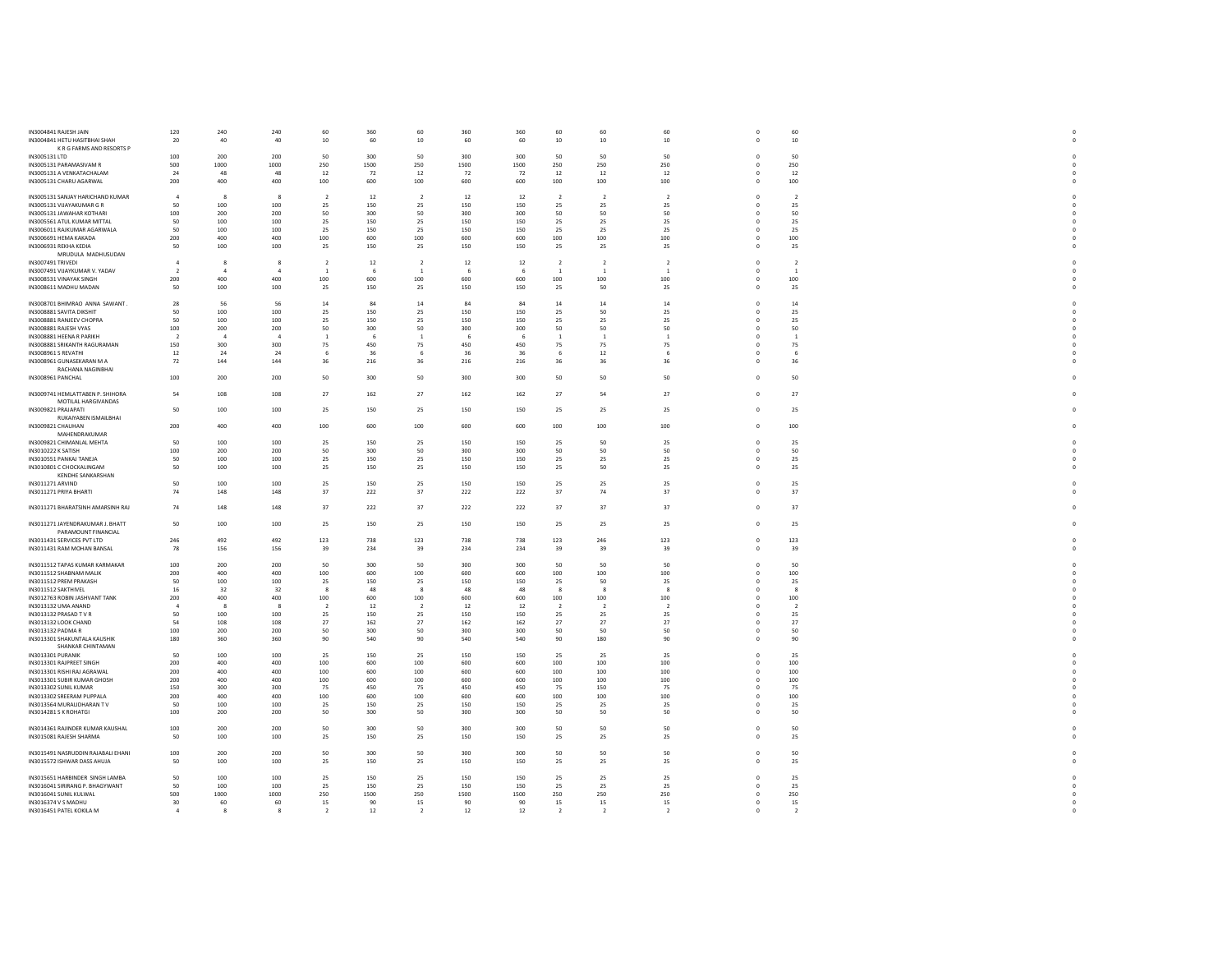| IN3004841 RAJESH JAIN<br>IN3004841 HETU HASITBHAI SHAH<br>K R G FARMS AND RESORTS P | 120<br>20      | 240<br>40    | 240<br>40      | 60<br>10       | 360<br>60 | 60<br>10               | 360<br>60       | 360<br>60 | 60<br>$10\,$   | 60<br>$10$     | 60<br>10       | $\Omega$<br>$\mathbf 0$ | 60<br>$10\,$   |  |
|-------------------------------------------------------------------------------------|----------------|--------------|----------------|----------------|-----------|------------------------|-----------------|-----------|----------------|----------------|----------------|-------------------------|----------------|--|
| IN3005131 LTD                                                                       | 100            | 200          | 200            | 50             | 300       | 50                     | 300             | 300       | 50             | 50             | 50             | $\Omega$                | 50             |  |
| IN3005131 PARAMASIVAM R                                                             | 500            | 1000         | 1000           | 250            | 1500      | 250                    | 1500            | 1500      | 250            | 250            | 250            | $\Omega$                | 250            |  |
| IN3005131 A VENKATACHALAM                                                           | 24             | 48           | 48             | 12             | 72        | 12                     | 72              | 72        | 12             | 12             | 12             | $\mathbf 0$             | $12\,$         |  |
| IN3005131 CHARU AGARWAL                                                             | 200            | 400          | 400            | 100            | 600       | 100                    | 600             | 600       | 100            | 100            | 100            | $^{\circ}$              | 100            |  |
|                                                                                     |                |              |                |                |           |                        |                 |           |                |                |                |                         |                |  |
| IN3005131 SANJAY HARICHAND KUMAR                                                    | $\overline{4}$ | -8           | 8              | $\overline{2}$ | 12        | <sup>2</sup>           | 12              | 12        | $\overline{2}$ | $\overline{2}$ | $\overline{2}$ | $^{\circ}$              | $\overline{2}$ |  |
| IN3005131 VIJAYAKUMAR G R                                                           | 50             | 100          | 100            | 25             | 150       | 25                     | 150             | 150       | 25             | 25             | 25             | $\mathbf 0$             | 25             |  |
| IN3005131 IAWAHAR KOTHARI                                                           | 100            | 200          | 200            | 50             | 300       | 50                     | 300             | 300       | 50             | 50             | 50             | $\Omega$                | 50             |  |
| IN3005561 ATUL KUMAR MITTAL                                                         | 50             | 100          | 100            | 25             | 150       | 25                     | 150             | 150       | 25             | 25             | 25             | $\mathbf 0$             | 25             |  |
| IN3006011 RAJKUMAR AGARWALA                                                         | 50             | 100          | 100            | 25             | 150       | 25                     | 150             | 150       | - 25           | 25             | 25             | $\Omega$                | 25             |  |
|                                                                                     |                | 400          | 400            |                |           |                        |                 |           |                |                |                | $\circ$                 |                |  |
| IN3006691 HEMA KAKADA                                                               | 200            |              |                | 100            | 600       | 100                    | 600             | 600       | $100\,$        | 100            | 100            |                         | 100            |  |
| IN3006931 REKHA KEDIA                                                               | 50             | 100          | 100            | 25             | 150       | 25                     | 150             | 150       | 25             | 25             | 25             | $^{\circ}$              | 25             |  |
| MRUDULA MADHUSUDAN                                                                  |                |              |                |                |           |                        |                 |           |                |                |                |                         |                |  |
| IN3007491 TRIVEDI                                                                   | $\mathbf{A}$   | -8           | ×              | $\overline{2}$ | 12        | $\overline{2}$         | 12              | 12        | $\overline{2}$ | $\overline{2}$ | $\overline{2}$ | $\Omega$                | $\overline{2}$ |  |
| IN3007491 VIJAYKUMAR V. YADAV                                                       | $\overline{2}$ | -4           | $\overline{4}$ | -1             | 6         | $\overline{1}$         | - 6             | 6         | <sup>1</sup>   | <sup>1</sup>   | <sup>1</sup>   | $\circ$                 | <sup>1</sup>   |  |
| IN3008531 VINAYAK SINGH                                                             | 200            | 400          | 400            | 100            | 600       | 100                    | 600             | 600       | 100            | 100            | 100            | $\circ$                 | 100            |  |
| IN3008611 MADHU MADAN                                                               | 50             | 100          | 100            | 25             | 150       | 25                     | 150             | 150       | - 25           | 50             | 25             | $\Omega$                | 25             |  |
|                                                                                     |                |              |                |                |           |                        |                 |           |                |                |                |                         |                |  |
| IN3008701 BHIMRAO ANNA SAWANT.                                                      | 28             | 56           | 56             | 14             | 84        | $14\,$                 | 84              | 84        | $14\,$         | $14\,$         | $14\,$         | $\Omega$                | $14\,$         |  |
| IN3008881 SAVITA DIKSHIT                                                            | 50             | 100          | 100            | 25             | 150       | 25                     | 150             | 150       | 25             | 50             | 25             | $\mathbf 0$             | 25             |  |
| IN3008881 RANJEEV CHOPRA                                                            | 50             | 100          | 100            | 25             | 150       | 25                     | 150             | 150       | 25             | 25             | 25             | $\Omega$                | 25             |  |
| IN3008881 RAJESH VYAS                                                               | 100            | 200          | 200            | 50             | 300       | 50                     | 300             | 300       | 50             | 50             | 50             |                         | 50             |  |
| IN3008881 HEENA R PARIKH                                                            | $\overline{2}$ | $\mathbf{A}$ | $\mathbf{A}$   | - 1            | -6        | $\overline{1}$         |                 | -6        | $\overline{1}$ | <sup>1</sup>   | $\overline{1}$ | $\Omega$                | $\overline{1}$ |  |
| IN3008881 SRIKANTH RAGURAMAN                                                        | 150            | 300          | 300            | 75             | 450       | 75                     | 450             | 450       | 75             | 75             | 75             | $\mathbf 0$             | 75             |  |
| IN3008961 S REVATHI                                                                 | 12             | 24           | 24             |                | 36        | -6                     | 36              | 36        |                | 12             | -6             | $\Omega$                | -6             |  |
| IN3008961 GUNASEKARAN M A                                                           | 72             | 144          | 144            | 36             | 216       | 36                     | 216             | 216       | 36             | 36             | 36             | $\Omega$                | 36             |  |
|                                                                                     |                |              |                |                |           |                        |                 |           |                |                |                |                         |                |  |
| RACHANA NAGINBHAI                                                                   |                |              |                |                |           |                        |                 |           |                |                |                | $\Omega$                |                |  |
| IN3008961 PANCHAL                                                                   | 100            | 200          | 200            | 50             | 300       | 50                     | 300             | 300       | 50             | 50             | 50             |                         | 50             |  |
|                                                                                     |                |              |                |                |           |                        |                 |           |                |                |                |                         |                |  |
| IN3009741 HEMLATTABEN P. SHIHORA                                                    | 54             | 108          | 108            | 27             | 162       | 27                     | 162             | 162       | 27             | 54             | 27             | $\circ$                 | 27             |  |
| MOTILAL HARGIVANDAS                                                                 |                |              |                |                |           |                        |                 |           |                |                |                |                         |                |  |
| IN3009821 PRAJAPATI                                                                 | 50             | 100          | 100            | 25             | 150       | 25                     | 150             | 150       | 25             | 25             | 25             | $\mathbf{0}$            | 25             |  |
| RUKAIYABEN ISMAILBHAI                                                               |                |              |                |                |           |                        |                 |           |                |                |                |                         |                |  |
| IN3009821 CHAUHAN                                                                   | 200            | 400          | 400            | 100            | 600       | 100                    | 600             | 600       | 100            | 100            | 100            | $\mathbf 0$             | 100            |  |
| MAHENDRAKUMAR                                                                       |                |              |                |                |           |                        |                 |           |                |                |                |                         |                |  |
| IN3009821 CHIMANLAL MEHTA                                                           | 50             | 100          | 100            | 25             | 150       | 25                     | 150             | 150       | 25             | 50             | 25             | $\Omega$                | 25             |  |
| IN3010222 K SATISH                                                                  | 100            | 200          | 200            | 50             | 300       | 50                     | 300             | 300       | 50             | 50             | 50             | $\Omega$                | 50             |  |
| IN3010551 PANKAJ TANEJA                                                             | 50             | 100          | 100            | 25             | 150       | 25                     | 150             | 150       | 25             | 25             | 25             | $\Omega$                | 25             |  |
| IN3010801 C CHOCKALINGAM                                                            | 50             | 100          | 100            | 25             | 150       | 25                     | 150             | 150       | 25             | 50             | 25             | $\mathbf 0$             | 25             |  |
| <b>KENDHE SANKARSHAN</b>                                                            |                |              |                |                |           |                        |                 |           |                |                |                |                         |                |  |
|                                                                                     |                |              |                |                |           |                        |                 |           |                |                |                |                         |                |  |
| IN3011271 ARVIND                                                                    | 50             | 100          | 100            | 25             | 150       | 25                     | 150             | 150       | 25             | 25             | 25             | $\mathbf 0$             | 25             |  |
| IN3011271 PRIYA BHARTI                                                              | 74             | 148          | 148            | 37             | 222       | 37                     | 222             | 222       | 37             | 74             | 37             | $\Omega$                | 37             |  |
|                                                                                     |                |              |                |                |           |                        |                 |           |                |                |                |                         |                |  |
| IN3011271 BHARATSINH AMARSINH RAJ                                                   | 74             | 148          | 148            | 37             | 222       | 37                     | 222             | 222       | 37             | 37             | 37             | $\Omega$                | 37             |  |
|                                                                                     |                |              |                |                |           |                        |                 |           |                |                |                |                         |                |  |
| IN3011271 JAYENDRAKUMAR J. BHATT                                                    | 50             | 100          | 100            | 25             | 150       | 25                     | 150             | 150       | 25             | 25             | 25             | $\circ$                 | 25             |  |
| PARAMOUNT FINANCIAL                                                                 |                |              |                |                |           |                        |                 |           |                |                |                |                         |                |  |
| IN3011431 SERVICES PVT LTD                                                          | 246            | 492          | 492            | 123            | 738       | 123                    | 738             | 738       | 123            | 246            | 123            | $\Omega$                | 123            |  |
| IN3011431 RAM MOHAN BANSAL                                                          | 78             | 156          | 156            | 39             | 234       | 39                     | 234             | 234       | 39             | 39             | 39             | $\mathbf{0}$            | 39             |  |
|                                                                                     |                |              |                |                |           |                        |                 |           |                |                |                |                         |                |  |
| IN3011512 TAPAS KUMAR KARMAKAR                                                      | 100            | 200          | 200            | 50             | 300       | 50                     | 300             | 300       | 50             | 50             | 50             | $\mathbf 0$             | 50             |  |
| IN3011512 SHABNAM MALIK                                                             | 200            | 400          | 400            | 100            | 600       | 100                    | 600             | 600       | 100            | 100            | 100            | $\Omega$                | 100            |  |
| IN3011512 PREM PRAKASH                                                              | 50             | 100          | 100            | 25             | 150       | 25                     | 150             | 150       | 25             | 50             | 25             | $\circ$                 | 25             |  |
| IN3011512 SAKTHIVEL                                                                 | 16             | 32           | 32             | $\mathbf{R}$   | 48        | $\mathbf{\mathcal{R}}$ | $\overline{AB}$ | 48        | $\mathbf{R}$   | $\mathbf{R}$   | $\mathbf{R}$   | $\Omega$                | $\mathbf{R}$   |  |
| IN3012763 ROBIN JASHVANT TANK                                                       | 200            | 400          | 400            | 100            | 600       | 100                    | 600             | 600       | 100            | 100            | 100            |                         | 100            |  |
| IN3013132 UMA ANAND                                                                 | $\overline{a}$ | $\mathbf{R}$ | $\mathbf{R}$   | $\overline{2}$ | 12        | $\overline{2}$         | 12              | 12        | $\overline{2}$ | $\overline{2}$ | $\overline{2}$ |                         | $\overline{2}$ |  |
|                                                                                     |                |              |                |                |           |                        |                 |           |                |                |                |                         |                |  |
| IN3013132 PRASAD TVR                                                                | 50             | 100          | 100            | 25             | 150       | 25                     | 150             | 150       | 25             | 25             | 25             | $\Omega$                | 25             |  |
| IN3013132 LOOK CHAND                                                                | 54             | 108          | 108            | 27             | 162       | 27                     | 162             | 162       | 27             | 27             | 27             | $^{\circ}$              | 27             |  |
| IN3013132 PADMA R                                                                   | 100            | 200          | 200            | 50             | 300       | 50                     | 300             | 300       | 50             | 50             | 50             | $\Omega$                | 50             |  |
| IN3013301 SHAKUNTALA KAUSHIK                                                        | 180            | 360          | 360            | 90             | 540       | 90                     | 540             | 540       | 90             | 180            | 90             | $\mathbf 0$             | 90             |  |
| SHANKAR CHINTAMAN                                                                   |                |              |                |                |           |                        |                 |           |                |                |                |                         |                |  |
| IN3013301 PURANIK                                                                   | 50             | 100          | 100            | 25             | 150       | 25                     | 150             | 150       | 25             | 25             | 25             | $\mathbf 0$             | 25             |  |
| IN3013301 RAIPREET SINGH                                                            | 200            | 400          | 400            | 100            | 600       | 100                    | 600             | 600       | 100            | 100            | 100            | $\Omega$                | 100            |  |
| IN3013301 RISHI RAJ AGRAWAL                                                         | 200            | 400          | 400            | 100            | 600       | 100                    | 600             | 600       | 100            | 100            | 100            | $\Omega$                | 100            |  |
| IN3013301 SUBIR KUMAR GHOSH                                                         | 200            | 400          | 400            | 100            | 600       | 100                    | 600             | 600       | 100            | 100            | 100            | $\Omega$                | 100            |  |
| IN3013302 SUNIL KUMAR                                                               | 150            | 300          | 300            | 75             | 450       | 75                     | 450             | 450       | 75             | 150            | 75             | $\Omega$                | 75             |  |
| IN3013302 SREERAM PUPPALA                                                           | 200            | 400          | 400            | 100            | 600       | 100                    | 600             | 600       | 100            | 100            | 100            | $^{\circ}$              | 100            |  |
| IN3013564 MURALIDHARAN TV                                                           | 50             | 100          | 100            | 25             | 150       | 25                     | 150             | 150       | 25             | 25             | 25             | $\Omega$                | 25             |  |
|                                                                                     |                |              |                |                |           |                        |                 |           |                |                |                |                         |                |  |
| IN3014281 S K ROHATGI                                                               | 100            | 200          | 200            | 50             | 300       | 50                     | 300             | 300       | 50             | 50             | 50             | $\mathbf 0$             | 50             |  |
|                                                                                     |                |              |                |                |           |                        |                 |           |                |                |                |                         |                |  |
| IN3014361 RAJINDER KUMAR KAUSHAL                                                    | 100            | 200          | 200            | 50             | 300       | 50                     | 300             | 300       | 50             | 50             | 50             | $^{\circ}$              | 50             |  |
| IN3015081 RAJESH SHARMA                                                             | 50             | 100          | 100            | 25             | 150       | 25                     | 150             | 150       | 25             | 25             | 25             | $^{\circ}$              | 25             |  |
|                                                                                     |                |              |                |                |           |                        |                 |           |                |                |                |                         |                |  |
| IN3015491 NASRUDDIN RAIARALLEHANI                                                   | 100            | 200          | 200            | 50             | 300       | 50                     | 300             | 300       | 50             | 50             | 50             | $\Omega$                | 50             |  |
| IN3015572 ISHWAR DASS AHUJA                                                         | 50             | 100          | 100            | 25             | 150       | 25                     | 150             | 150       | 25             | 25             | 25             | $\mathbf 0$             | 25             |  |
|                                                                                     |                |              |                |                |           |                        |                 |           |                |                |                |                         |                |  |
| IN3015651 HARBINDER SINGH LAMBA                                                     | 50             | 100          | 100            | 25             | 150       | 25                     | 150             | 150       | 25             | 25             | 25             | $\mathbf 0$             | 25             |  |
| IN3016041 SIRIRANG P. BHAGYWANT                                                     | 50             | 100          | 100            | 25             | 150       | 25                     | 150             | 150       | - 25           | 25             | 25             | $\Omega$                | 25             |  |
| IN3016041 SUNIL KULWAL                                                              | 500            | 1000         | 1000           | 250            | 1500      | 250                    | 1500            | 1500      | 250            | 250            | 250            | $\circ$                 | 250            |  |
| IN3016374 V S MADHU                                                                 | 30             | 60           | 60             | 15             | 90        | 15                     | 90              | 90        | 15             | 15             | 15             | $\Omega$                | 15             |  |
| IN3016451 PATEL KOKILA M                                                            | $\overline{4}$ | -8           | 8              | $\overline{2}$ | 12        | $\overline{2}$         | 12              | 12        | $\overline{2}$ | $\overline{2}$ | $\overline{2}$ |                         | $\overline{2}$ |  |
|                                                                                     |                |              |                |                |           |                        |                 |           |                |                |                |                         |                |  |